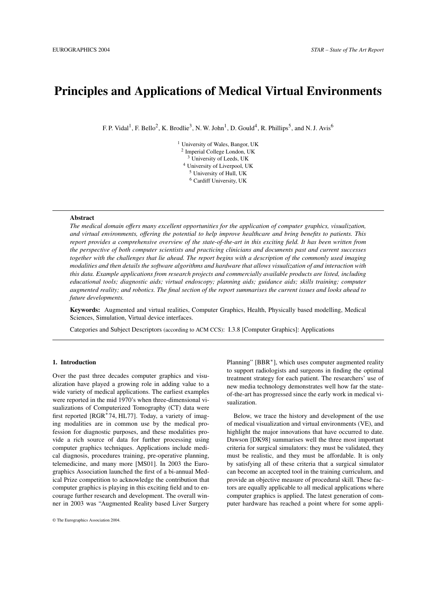# **Principles and Applications of Medical Virtual Environments**

F. P. Vidal<sup>1</sup>, F. Bello<sup>2</sup>, K. Brodlie<sup>3</sup>, N. W. John<sup>1</sup>, D. Gould<sup>4</sup>, R. Phillips<sup>5</sup>, and N. J. Avis<sup>6</sup>

 University of Wales, Bangor, UK Imperial College London, UK University of Leeds, UK University of Liverpool, UK University of Hull, UK Cardiff University, UK

#### **Abstract**

*The medical domain offers many excellent opportunities for the application of computer graphics, visualization, and virtual environments, offering the potential to help improve healthcare and bring benefits to patients. This report provides a comprehensive overview of the state-of-the-art in this exciting field. It has been written from the perspective of both computer scientists and practicing clinicians and documents past and current successes together with the challenges that lie ahead. The report begins with a description of the commonly used imaging modalities and then details the software algorithms and hardware that allows visualization of and interaction with this data. Example applications from research projects and commercially available products are listed, including educational tools; diagnostic aids; virtual endoscopy; planning aids; guidance aids; skills training; computer augmented reality; and robotics. The final section of the report summarises the current issues and looks ahead to future developments.*

**Keywords:** Augmented and virtual realities, Computer Graphics, Health, Physically based modelling, Medical Sciences, Simulation, Virtual device interfaces.

Categories and Subject Descriptors (according to ACM CCS): I.3.8 [Computer Graphics]: Applications

# **1. Introduction**

Over the past three decades computer graphics and visualization have played a growing role in adding value to a wide variety of medical applications. The earliest examples were reported in the mid 1970's when three-dimensional visualizations of Computerized Tomography (CT) data were first reported [RGR<sup>\*</sup>74, HL77]. Today, a variety of imaging modalities are in common use by the medical profession for diagnostic purposes, and these modalities provide a rich source of data for further processing using computer graphics techniques. Applications include medical diagnosis, procedures training, pre-operative planning, telemedicine, and many more [MS01]. In 2003 the Eurographics Association launched the first of a bi-annual Medical Prize competition to acknowledge the contribution that computer graphics is playing in this exciting field and to encourage further research and development. The overall winner in 2003 was "Augmented Reality based Liver Surgery

Planning" [BBR<sup>\*</sup>], which uses computer augmented reality to support radiologists and surgeons in finding the optimal treatment strategy for each patient. The researchers' use of new media technology demonstrates well how far the stateof-the-art has progressed since the early work in medical visualization.

Below, we trace the history and development of the use of medical visualization and virtual environments (VE), and highlight the major innovations that have occurred to date. Dawson [DK98] summarises well the three most important criteria for surgical simulators: they must be validated, they must be realistic, and they must be affordable. It is only by satisfying all of these criteria that a surgical simulator can become an accepted tool in the training curriculum, and provide an objective measure of procedural skill. These factors are equally applicable to all medical applications where computer graphics is applied. The latest generation of computer hardware has reached a point where for some appli-

<sup>©</sup> The Eurographics Association 2004.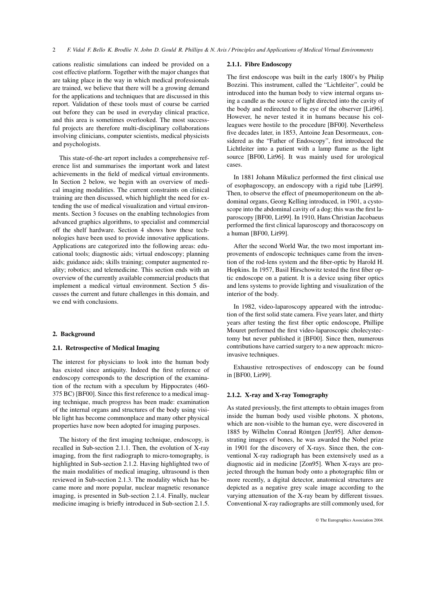cations realistic simulations can indeed be provided on a cost effective platform. Together with the major changes that are taking place in the way in which medical professionals are trained, we believe that there will be a growing demand for the applications and techniques that are discussed in this report. Validation of these tools must of course be carried out before they can be used in everyday clinical practice, and this area is sometimes overlooked. The most successful projects are therefore multi-disciplinary collaborations involving clinicians, computer scientists, medical physicists and psychologists.

This state-of-the-art report includes a comprehensive reference list and summarises the important work and latest achievements in the field of medical virtual environments. In Section 2 below, we begin with an overview of medical imaging modalities. The current constraints on clinical training are then discussed, which highlight the need for extending the use of medical visualization and virtual environments. Section 3 focuses on the enabling technologies from advanced graphics algorithms, to specialist and commercial off the shelf hardware. Section 4 shows how these technologies have been used to provide innovative applications. Applications are categorized into the following areas: educational tools; diagnostic aids; virtual endoscopy; planning aids; guidance aids; skills training; computer augmented reality; robotics; and telemedicine. This section ends with an overview of the currently available commercial products that implement a medical virtual environment. Section 5 discusses the current and future challenges in this domain, and we end with conclusions.

# **2. Background**

# **2.1. Retrospective of Medical Imaging**

The interest for physicians to look into the human body has existed since antiquity. Indeed the first reference of endoscopy corresponds to the description of the examination of the rectum with a speculum by Hippocrates (460- 375 BC) [BF00]. Since this first reference to a medical imaging technique, much progress has been made: examination of the internal organs and structures of the body using visible light has become commonplace and many other physical properties have now been adopted for imaging purposes.

The history of the first imaging technique, endoscopy, is recalled in Sub-section 2.1.1. Then, the evolution of X-ray imaging, from the first radiograph to micro-tomography, is highlighted in Sub-section 2.1.2. Having highlighted two of the main modalities of medical imaging, ultrasound is then reviewed in Sub-section 2.1.3. The modality which has became more and more popular, nuclear magnetic resonance imaging, is presented in Sub-section 2.1.4. Finally, nuclear medicine imaging is briefly introduced in Sub-section 2.1.5.

#### **2.1.1. Fibre Endoscopy**

The first endoscope was built in the early 1800's by Philip Bozzini. This instrument, called the "Lichtleiter", could be introduced into the human body to view internal organs using a candle as the source of light directed into the cavity of the body and redirected to the eye of the observer [Lit96]. However, he never tested it in humans because his colleagues were hostile to the procedure [BF00]. Nevertheless five decades later, in 1853, Antoine Jean Desormeaux, considered as the "Father of Endoscopy", first introduced the Lichtleiter into a patient with a lamp flame as the light source [BF00, Lit96]. It was mainly used for urological cases.

In 1881 Johann Mikulicz performed the first clinical use of esophagoscopy, an endoscopy with a rigid tube [Lit99]. Then, to observe the effect of pneumoperitoneum on the abdominal organs, Georg Kelling introduced, in 1901, a cystoscope into the abdominal cavity of a dog; this was the first laparoscopy [BF00, Lit99]. In 1910, Hans Christian Jacobaeus performed the first clinical laparoscopy and thoracoscopy on a human [BF00, Lit99].

After the second World War, the two most important improvements of endoscopic techniques came from the invention of the rod-lens system and the fiber-optic by Harold H. Hopkins. In 1957, Basil Hirschowitz tested the first fiber optic endoscope on a patient. It is a device using fiber optics and lens systems to provide lighting and visualization of the interior of the body.

In 1982, video-laparoscopy appeared with the introduction of the first solid state camera. Five years later, and thirty years after testing the first fiber optic endoscope, Phillipe Mouret performed the first video-laparoscopic cholecystectomy but never published it [BF00]. Since then, numerous contributions have carried surgery to a new approach: microinvasive techniques.

Exhaustive retrospectives of endoscopy can be found in [BF00, Lit99].

#### **2.1.2. X-ray and X-ray Tomography**

As stated previously, the first attempts to obtain images from inside the human body used visible photons. X photons, which are non-visible to the human eye, were discovered in 1885 by Wilhelm Conrad Röntgen [Jen95]. After demonstrating images of bones, he was awarded the Nobel prize in 1901 for the discovery of X-rays. Since then, the conventional X-ray radiograph has been extensively used as a diagnostic aid in medicine [Zon95]. When X-rays are projected through the human body onto a photographic film or more recently, a digital detector, anatomical structures are depicted as a negative grey scale image according to the varying attenuation of the X-ray beam by different tissues. Conventional X-ray radiographs are still commonly used, for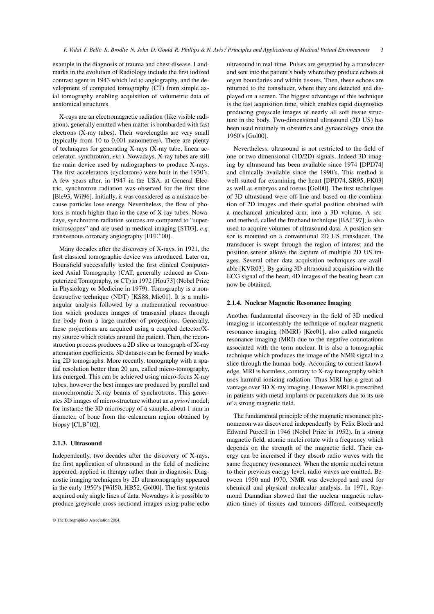example in the diagnosis of trauma and chest disease. Landmarks in the evolution of Radiology include the first iodized contrast agent in 1943 which led to angiography, and the development of computed tomography (CT) from simple axial tomography enabling acquisition of volumetric data of anatomical structures.

X-rays are an electromagnetic radiation (like visible radiation), generally emitted when matter is bombarded with fast electrons (X-ray tubes). Their wavelengths are very small (typically from 10 to 0.001 nanometres). There are plenty of techniques for generating X-rays (X-ray tube, linear accelerator, synchrotron, *etc.*). Nowadays, X-ray tubes are still the main device used by radiographers to produce X-rays. The first accelerators (cyclotrons) were built in the 1930's. A few years after, in 1947 in the USA, at General Electric, synchrotron radiation was observed for the first time [Ble93, Wil96]. Initially, it was considered as a nuisance because particles lose energy. Nevertheless, the flow of photons is much higher than in the case of X-ray tubes. Nowadays, synchrotron radiation sources are compared to "supermicroscopes" and are used in medical imaging [ST03], *e.g.* transvenous coronary angiography [EFE<sup>∗</sup> 00].

Many decades after the discovery of X-rays, in 1921, the first classical tomographic device was introduced. Later on, Hounsfield successfully tested the first clinical Computerized Axial Tomography (CAT, generally reduced as Computerized Tomography, or CT) in 1972 [Hou73] (Nobel Prize in Physiology or Medicine in 1979). Tomography is a nondestructive technique (NDT) [KS88, Mic01]. It is a multiangular analysis followed by a mathematical reconstruction which produces images of transaxial planes through the body from a large number of projections. Generally, these projections are acquired using a coupled detector/Xray source which rotates around the patient. Then, the reconstruction process produces a 2D slice or tomograph of X-ray attenuation coefficients. 3D datasets can be formed by stacking 2D tomographs. More recently, tomography with a spatial resolution better than 20 µm, called micro-tomography, has emerged. This can be achieved using micro-focus X-ray tubes, however the best images are produced by parallel and monochromatic X-ray beams of synchrotrons. This generates 3D images of micro-structure without an *a priori* model; for instance the 3D microscopy of a sample, about 1 mm in diameter, of bone from the calcaneum region obtained by biopsy [CLB<sup>∗</sup> 02].

#### **2.1.3. Ultrasound**

Independently, two decades after the discovery of X-rays, the first application of ultrasound in the field of medicine appeared, applied in therapy rather than in diagnosis. Diagnostic imaging techniques by 2D ultrasonography appeared in the early 1950's [Wil50, HB52, Gol00]. The first systems acquired only single lines of data. Nowadays it is possible to produce greyscale cross-sectional images using pulse-echo

ultrasound in real-time. Pulses are generated by a transducer and sent into the patient's body where they produce echoes at organ boundaries and within tissues. Then, these echoes are returned to the transducer, where they are detected and displayed on a screen. The biggest advantage of this technique is the fast acquisition time, which enables rapid diagnostics producing greyscale images of nearly all soft tissue structure in the body. Two-dimensional ultrasound (2D US) has been used routinely in obstetrics and gynaecology since the 1960's [Gol00].

Nevertheless, ultrasound is not restricted to the field of one or two dimensional (1D/2D) signals. Indeed 3D imaging by ultrasound has been available since 1974 [DPD74] and clinically available since the 1990's. This method is well suited for examining the heart [DPD74, SR95, FK03] as well as embryos and foetus [Gol00]. The first techniques of 3D ultrasound were off-line and based on the combination of 2D images and their spatial position obtained with a mechanical articulated arm, into a 3D volume. A second method, called the freehand technique [BAJ<sup>∗</sup> 97], is also used to acquire volumes of ultrasound data. A position sensor is mounted on a conventional 2D US transducer. The transducer is swept through the region of interest and the position sensor allows the capture of multiple 2D US images. Several other data acquisition techniques are available [KVR03]. By gating 3D ultrasound acquisition with the ECG signal of the heart, 4D images of the beating heart can now be obtained.

# **2.1.4. Nuclear Magnetic Resonance Imaging**

Another fundamental discovery in the field of 3D medical imaging is incontestably the technique of nuclear magnetic resonance imaging (NMRI) [Kee01], also called magnetic resonance imaging (MRI) due to the negative connotations associated with the term nuclear. It is also a tomographic technique which produces the image of the NMR signal in a slice through the human body. According to current knowledge, MRI is harmless, contrary to X-ray tomography which uses harmful ionizing radiation. Thus MRI has a great advantage over 3D X-ray imaging. However MRI is proscribed in patients with metal implants or pacemakers due to its use of a strong magnetic field.

The fundamental principle of the magnetic resonance phenomenon was discovered independently by Felix Bloch and Edward Purcell in 1946 (Nobel Prize in 1952). In a strong magnetic field, atomic nuclei rotate with a frequency which depends on the strength of the magnetic field. Their energy can be increased if they absorb radio waves with the same frequency (resonance). When the atomic nuclei return to their previous energy level, radio waves are emitted. Between 1950 and 1970, NMR was developed and used for chemical and physical molecular analysis. In 1971, Raymond Damadian showed that the nuclear magnetic relaxation times of tissues and tumours differed, consequently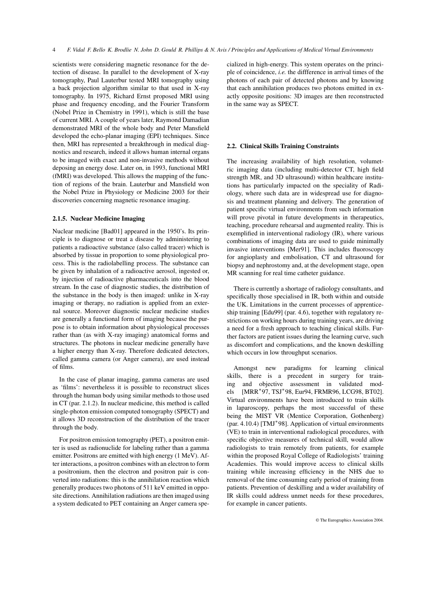scientists were considering magnetic resonance for the detection of disease. In parallel to the development of X-ray tomography, Paul Lauterbur tested MRI tomography using a back projection algorithm similar to that used in X-ray tomography. In 1975, Richard Ernst proposed MRI using phase and frequency encoding, and the Fourier Transform (Nobel Prize in Chemistry in 1991), which is still the base of current MRI. A couple of years later, Raymond Damadian demonstrated MRI of the whole body and Peter Mansfield developed the echo-planar imaging (EPI) techniques. Since then, MRI has represented a breakthrough in medical diagnostics and research, indeed it allows human internal organs to be imaged with exact and non-invasive methods without deposing an energy dose. Later on, in 1993, functional MRI (fMRI) was developed. This allows the mapping of the function of regions of the brain. Lauterbur and Mansfield won the Nobel Prize in Physiology or Medicine 2003 for their discoveries concerning magnetic resonance imaging.

# **2.1.5. Nuclear Medicine Imaging**

Nuclear medicine [Bad01] appeared in the 1950's. Its principle is to diagnose or treat a disease by administering to patients a radioactive substance (also called tracer) which is absorbed by tissue in proportion to some physiological process. This is the radiolabelling process. The substance can be given by inhalation of a radioactive aerosol, ingested or, by injection of radioactive pharmaceuticals into the blood stream. In the case of diagnostic studies, the distribution of the substance in the body is then imaged: unlike in X-ray imaging or therapy, no radiation is applied from an external source. Moreover diagnostic nuclear medicine studies are generally a functional form of imaging because the purpose is to obtain information about physiological processes rather than (as with X-ray imaging) anatomical forms and structures. The photons in nuclear medicine generally have a higher energy than X-ray. Therefore dedicated detectors, called gamma camera (or Anger camera), are used instead of films.

In the case of planar imaging, gamma cameras are used as 'films': nevertheless it is possible to reconstruct slices through the human body using similar methods to those used in CT (par. 2.1.2). In nuclear medicine, this method is called single-photon emission computed tomography (SPECT) and it allows 3D reconstruction of the distribution of the tracer through the body.

For positron emission tomography (PET), a positron emitter is used as radionuclide for labeling rather than a gamma emitter. Positrons are emitted with high energy (1 MeV). After interactions, a positron combines with an electron to form a positronium, then the electron and positron pair is converted into radiations: this is the annihilation reaction which generally produces two photons of 511 keV emitted in opposite directions. Annihilation radiations are then imaged using a system dedicated to PET containing an Anger camera spe-

cialized in high-energy. This system operates on the principle of coincidence, *i.e.* the diffference in arrival times of the photons of each pair of detected photons and by knowing that each annihilation produces two photons emitted in exactly opposite positions: 3D images are then reconstructed in the same way as SPECT.

#### **2.2. Clinical Skills Training Constraints**

The increasing availability of high resolution, volumetric imaging data (including multi-detector CT, high field strength MR, and 3D ultrasound) within healthcare institutions has particularly impacted on the speciality of Radiology, where such data are in widespread use for diagnosis and treatment planning and delivery. The generation of patient specific virtual environments from such information will prove pivotal in future developments in therapeutics, teaching, procedure rehearsal and augmented reality. This is exemplified in interventional radiology (IR), where various combinations of imaging data are used to guide minimally invasive interventions [Mer91]. This includes fluoroscopy for angioplasty and embolisation, CT and ultrasound for biopsy and nephrostomy and, at the development stage, open MR scanning for real time catheter guidance.

There is currently a shortage of radiology consultants, and specifically those specialised in IR, both within and outside the UK. Limitations in the current processes of apprenticeship training [Edu99] (par. 4.6), together with regulatory restrictions on working hours during training years, are driving a need for a fresh approach to teaching clinical skills. Further factors are patient issues during the learning curve, such as discomfort and complications, and the known deskilling which occurs in low throughput scenarios.

Amongst new paradigms for learning clinical skills, there is a precedent in surgery for training and objective assessment in validated models [MRR<sup>∗</sup> 97, TSJ<sup>∗</sup> 98, Eur94, FRMR96, LCG98, BT02]. Virtual environments have been introduced to train skills in laparoscopy, perhaps the most successful of these being the MIST VR (Mentice Corporation, Gothenberg) (par. 4.10.4) [TMJ<sup>∗</sup> 98]. Application of virtual environments (VE) to train in interventional radiological procedures, with specific objective measures of technical skill, would allow radiologists to train remotely from patients, for example within the proposed Royal College of Radiologists' training Academies. This would improve access to clinical skills training while increasing efficiency in the NHS due to removal of the time consuming early period of training from patients. Prevention of deskilling and a wider availability of IR skills could address unmet needs for these procedures, for example in cancer patients.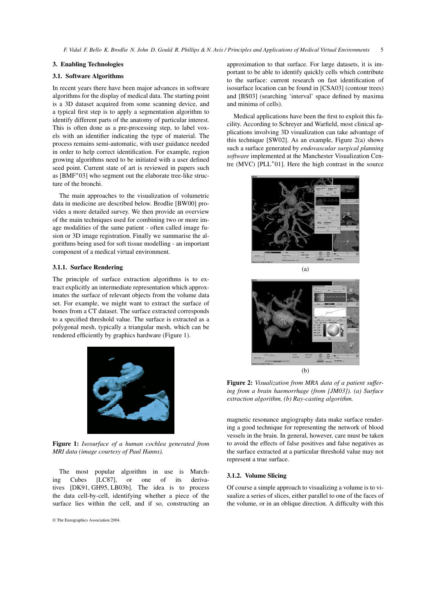#### **3. Enabling Technologies**

# **3.1. Software Algorithms**

In recent years there have been major advances in software algorithms for the display of medical data. The starting point is a 3D dataset acquired from some scanning device, and a typical first step is to apply a segmentation algorithm to identify different parts of the anatomy of particular interest. This is often done as a pre-processing step, to label voxels with an identifier indicating the type of material. The process remains semi-automatic, with user guidance needed in order to help correct identification. For example, region growing algorithms need to be initiated with a user defined seed point. Current state of art is reviewed in papers such as [BMF<sup>∗</sup> 03] who segment out the elaborate tree-like structure of the bronchi.

The main approaches to the visualization of volumetric data in medicine are described below. Brodlie [BW00] provides a more detailed survey. We then provide an overview of the main techniques used for combining two or more image modalities of the same patient - often called image fusion or 3D image registration. Finally we summarise the algorithms being used for soft tissue modelling - an important component of a medical virtual environment.

# **3.1.1. Surface Rendering**

The principle of surface extraction algorithms is to extract explicitly an intermediate representation which approximates the surface of relevant objects from the volume data set. For example, we might want to extract the surface of bones from a CT dataset. The surface extracted corresponds to a specified threshold value. The surface is extracted as a polygonal mesh, typically a triangular mesh, which can be rendered efficiently by graphics hardware (Figure 1).



**Figure 1:** *Isosurface of a human cochlea generated from MRI data (image courtesy of Paul Hanns).*

The most popular algorithm in use is Marching Cubes [LC87], or one of its derivatives [DK91, GH95, LB03b]. The idea is to process the data cell-by-cell, identifying whether a piece of the surface lies within the cell, and if so, constructing an

© The Eurographics Association 2004.

approximation to that surface. For large datasets, it is important to be able to identify quickly cells which contribute to the surface: current research on fast identification of isosurface location can be found in [CSA03] (contour trees) and [BS03] (searching 'interval' space defined by maxima and minima of cells).

Medical applications have been the first to exploit this facility. According to Schreyer and Warfield, most clinical applications involving 3D visualization can take advantage of this technique [SW02]. As an example, Figure 2(a) shows such a surface generated by *endovascular surgical planning software* implemented at the Manchester Visualization Centre (MVC) [PLL<sup>∗</sup> 01]. Here the high contrast in the source





**Figure 2:** *Visualization from MRA data of a patient suffering from a brain haemorrhage (from [JM03]). (a) Surface extraction algorithm, (b) Ray-casting algorithm.*

magnetic resonance angiography data make surface rendering a good technique for representing the network of blood vessels in the brain. In general, however, care must be taken to avoid the effects of false positives and false negatives as the surface extracted at a particular threshold value may not represent a true surface.

# **3.1.2. Volume Slicing**

Of course a simple approach to visualizing a volume is to visualize a series of slices, either parallel to one of the faces of the volume, or in an oblique direction. A difficulty with this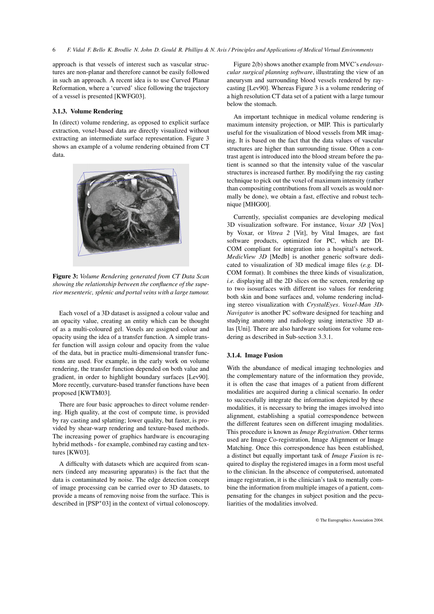approach is that vessels of interest such as vascular structures are non-planar and therefore cannot be easily followed in such an approach. A recent idea is to use Curved Planar Reformation, where a 'curved' slice following the trajectory of a vessel is presented [KWFG03].

# **3.1.3. Volume Rendering**

In (direct) volume rendering, as opposed to explicit surface extraction, voxel-based data are directly visualized without extracting an intermediate surface representation. Figure 3 shows an example of a volume rendering obtained from CT data.



**Figure 3:** *Volume Rendering generated from CT Data Scan showing the relationship between the confluence of the superior mesenteric, splenic and portal veins with a large tumour.*

Each voxel of a 3D dataset is assigned a colour value and an opacity value, creating an entity which can be thought of as a multi-coloured gel. Voxels are assigned colour and opacity using the idea of a transfer function. A simple transfer function will assign colour and opacity from the value of the data, but in practice multi-dimensional transfer functions are used. For example, in the early work on volume rendering, the transfer function depended on both value and gradient, in order to highlight boundary surfaces [Lev90]. More recently, curvature-based transfer functions have been proposed [KWTM03].

There are four basic approaches to direct volume rendering. High quality, at the cost of compute time, is provided by ray casting and splatting; lower quality, but faster, is provided by shear-warp rendering and texture-based methods. The increasing power of graphics hardware is encouraging hybrid methods - for example, combined ray casting and textures [KW03].

A difficulty with datasets which are acquired from scanners (indeed any measuring apparatus) is the fact that the data is contaminated by noise. The edge detection concept of image processing can be carried over to 3D datasets, to provide a means of removing noise from the surface. This is described in [PSP<sup>∗</sup> 03] in the context of virtual colonoscopy.

Figure 2(b) shows another example from MVC's *endovascular surgical planning software*, illustrating the view of an aneurysm and surrounding blood vessels rendered by raycasting [Lev90]. Whereas Figure 3 is a volume rendering of a high resolution CT data set of a patient with a large tumour below the stomach.

An important technique in medical volume rendering is maximum intensity projection, or MIP. This is particularly useful for the visualization of blood vessels from MR imaging. It is based on the fact that the data values of vascular structures are higher than surrounding tissue. Often a contrast agent is introduced into the blood stream before the patient is scanned so that the intensity value of the vascular structures is increased further. By modifying the ray casting technique to pick out the voxel of maximum intensity (rather than compositing contributions from all voxels as would normally be done), we obtain a fast, effective and robust technique [MHG00].

Currently, specialist companies are developing medical 3D visualization software. For instance, *Voxar 3D* [Vox] by Voxar, or *Vitrea 2* [Vit], by Vital Images, are fast software products, optimized for PC, which are DI-COM compliant for integration into a hospital's network. *MedicView 3D* [Medb] is another generic software dedicated to visualization of 3D medical image files (*e.g.* DI-COM format). It combines the three kinds of visualization, *i.e.* displaying all the 2D slices on the screen, rendering up to two isosurfaces with different iso values for rendering both skin and bone surfaces and, volume rendering including stereo visualization with *CrystalEyes*. *Voxel-Man 3D-Navigator* is another PC software designed for teaching and studying anatomy and radiology using interactive 3D atlas [Uni]. There are also hardware solutions for volume rendering as described in Sub-section 3.3.1.

#### **3.1.4. Image Fusion**

With the abundance of medical imaging technologies and the complementary nature of the information they provide, it is often the case that images of a patient from different modalities are acquired during a clinical scenario. In order to successfully integrate the information depicted by these modalities, it is necessary to bring the images involved into alignment, establishing a spatial correspondence between the different features seen on different imaging modalities. This procedure is known as *Image Registration*. Other terms used are Image Co-registration, Image Alignment or Image Matching. Once this correspondence has been established, a distinct but equally important task of *Image Fusion* is required to display the registered images in a form most useful to the clinician. In the abscence of computerised, automated image registration, it is the clinician's task to mentally combine the information from multiple images of a patient, compensating for the changes in subject position and the peculiarities of the modalities involved.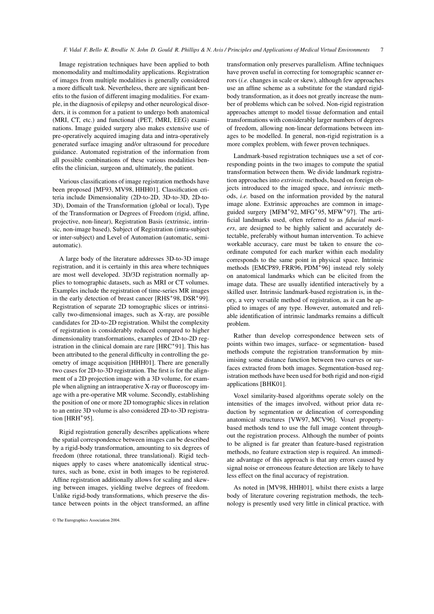Image registration techniques have been applied to both monomodality and multimodality applications. Registration of images from multiple modalities is generally considered a more difficult task. Nevertheless, there are significant benefits to the fusion of different imaging modalities. For example, in the diagnosis of epilepsy and other neurological disorders, it is common for a patient to undergo both anatomical (MRI, CT, etc.) and functional (PET, fMRI, EEG) examinations. Image guided surgery also makes extensive use of pre-operatively acquired imaging data and intra-operatively generated surface imaging and/or ultrasound for procedure guidance. Automated registration of the information from all possible combinations of these various modalities benefits the clinician, surgeon and, ultimately, the patient.

Various classifications of image registration methods have been proposed [MF93, MV98, HHH01]. Classification criteria include Dimensionality (2D-to-2D, 3D-to-3D, 2D-to-3D), Domain of the Transformation (global or local), Type of the Transformation or Degrees of Freedom (rigid, affine, projective, non-linear), Registration Basis (extrinsic, intrinsic, non-image based), Subject of Registration (intra-subject or inter-subject) and Level of Automation (automatic, semiautomatic).

A large body of the literature addresses 3D-to-3D image registration, and it is certainly in this area where techniques are most well developed. 3D/3D registration normally applies to tomographic datasets, such as MRI or CT volumes. Examples include the registration of time-series MR images in the early detection of breast cancer [RHS<sup>∗</sup>98, DSR<sup>∗</sup>99]. Registration of separate 2D tomographic slices or intrinsically two-dimensional images, such as X-ray, are possible candidates for 2D-to-2D registration. Whilst the complexity of registration is considerably reduced compared to higher dimensionality transformations, examples of 2D-to-2D registration in the clinical domain are rare [HRC<sup>∗</sup> 91]. This has been attributed to the general difficulty in controlling the geometry of image acquisition [HHH01]. There are generally two cases for 2D-to-3D registration. The first is for the alignment of a 2D projection image with a 3D volume, for example when aligning an intraoperative X-ray or fluoroscopy image with a pre-operative MR volume. Secondly, establishing the position of one or more 2D tomographic slices in relation to an entire 3D volume is also considered 2D-to-3D registration [HRH<sup>∗</sup> 95].

Rigid registration generally describes applications where the spatial correspondence between images can be described by a rigid-body transformation, amounting to six degrees of freedom (three rotational, three translational). Rigid techniques apply to cases where anatomically identical structures, such as bone, exist in both images to be registered. Affine registration additionally allows for scaling and skewing between images, yielding twelve degrees of freedom. Unlike rigid-body transformations, which preserve the distance between points in the object transformed, an affine

transformation only preserves parallelism. Affine techniques have proven useful in correcting for tomographic scanner errors (*i.e.* changes in scale or skew), although few approaches use an affine scheme as a substitute for the standard rigidbody transformation, as it does not greatly increase the number of problems which can be solved. Non-rigid registration approaches attempt to model tissue deformation and entail transformations with considerably larger numbers of degrees of freedom, allowing non-linear deformations between images to be modelled. In general, non-rigid registration is a more complex problem, with fewer proven techniques.

Landmark-based registration techniques use a set of corresponding points in the two images to compute the spatial transformation between them. We divide landmark registration approaches into *extrinsic* methods, based on foreign objects introduced to the imaged space, and *intrinsic* methods, *i.e.* based on the information provided by the natural image alone. Extrinsic approaches are common in imageguided surgery [MFM<sup>\*92</sup>, MFG<sup>\*95</sup>, MFW<sup>\*97</sup>]. The artificial landmarks used, often referred to as *fiducial markers*, are designed to be highly salient and accurately detectable, preferably without human intervention. To achieve workable accuracy, care must be taken to ensure the coordinate computed for each marker within each modality corresponds to the same point in physical space. Intrinsic methods [EMCP89, FRR96, PDM<sup>∗</sup>96] instead rely solely on anatomical landmarks which can be elicited from the image data. These are usually identified interactively by a skilled user. Intrinsic landmark-based registration is, in theory, a very versatile method of registration, as it can be applied to images of any type. However, automated and reliable identification of intrinsic landmarks remains a difficult problem.

Rather than develop correspondence between sets of points within two images, surface- or segmentation- based methods compute the registration transformation by minimising some distance function between two curves or surfaces extracted from both images. Segmentation-based registration methods have been used for both rigid and non-rigid applications [BHK01].

Voxel similarity-based algorithms operate solely on the intensities of the images involved, without prior data reduction by segmentation or delineation of corresponding anatomical structures [VW97, MCV96]. Voxel propertybased methods tend to use the full image content throughout the registration process. Although the number of points to be aligned is far greater than feature-based registration methods, no feature extraction step is required. An immediate advantage of this approach is that any errors caused by signal noise or erroneous feature detection are likely to have less effect on the final accuracy of registration.

As noted in [MV98, HHH01], whilst there exists a large body of literature covering registration methods, the technology is presently used very little in clinical practice, with

<sup>©</sup> The Eurographics Association 2004.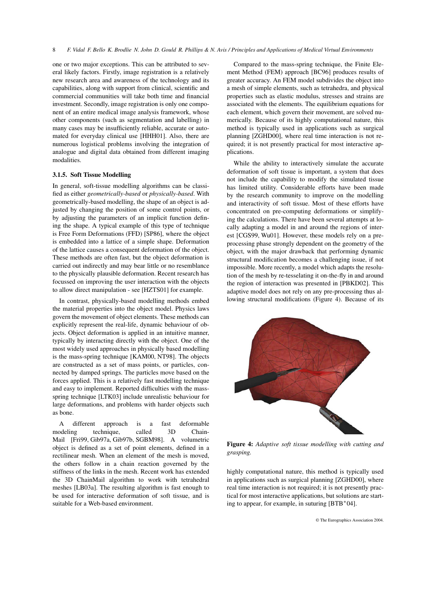one or two major exceptions. This can be attributed to several likely factors. Firstly, image registration is a relatively new research area and awareness of the technology and its capabilities, along with support from clinical, scientific and commercial communities will take both time and financial investment. Secondly, image registration is only one component of an entire medical image analysis framework, whose other components (such as segmentation and labelling) in many cases may be insufficiently reliable, accurate or automated for everyday clinical use [HHH01]. Also, there are numerous logistical problems involving the integration of analogue and digital data obtained from different imaging modalities.

# **3.1.5. Soft Tissue Modelling**

In general, soft-tissue modelling algorithms can be classified as either *geometrically-based* or *physically-based*. With geometrically-based modelling, the shape of an object is adjusted by changing the position of some control points, or by adjusting the parameters of an implicit function defining the shape. A typical example of this type of technique is Free Form Deformations (FFD) [SP86], where the object is embedded into a lattice of a simple shape. Deformation of the lattice causes a consequent deformation of the object. These methods are often fast, but the object deformation is carried out indirectly and may bear little or no resemblance to the physically plausible deformation. Recent research has focussed on improving the user interaction with the objects to allow direct manipulation - see [HZTS01] for example.

In contrast, physically-based modelling methods embed the material properties into the object model. Physics laws govern the movement of object elements. These methods can explicitly represent the real-life, dynamic behaviour of objects. Object deformation is applied in an intuitive manner, typically by interacting directly with the object. One of the most widely used approaches in physically based modelling is the mass-spring technique [KAM00, NT98]. The objects are constructed as a set of mass points, or particles, connected by damped springs. The particles move based on the forces applied. This is a relatively fast modelling technique and easy to implement. Reported difficulties with the massspring technique [LTK03] include unrealistic behaviour for large deformations, and problems with harder objects such as bone.

A different approach is a fast deformable modeling technique, called 3D Chain-Mail [Fri99, Gib97a, Gib97b, SGBM98]. A volumetric object is defined as a set of point elements, defined in a rectilinear mesh. When an element of the mesh is moved, the others follow in a chain reaction governed by the stiffness of the links in the mesh. Recent work has extended the 3D ChainMail algorithm to work with tetrahedral meshes [LB03a]. The resulting algorithm is fast enough to be used for interactive deformation of soft tissue, and is suitable for a Web-based environment.

Compared to the mass-spring technique, the Finite Element Method (FEM) approach [BC96] produces results of greater accuracy. An FEM model subdivides the object into a mesh of simple elements, such as tetrahedra, and physical properties such as elastic modulus, stresses and strains are associated with the elements. The equilibrium equations for each element, which govern their movement, are solved numerically. Because of its highly computational nature, this method is typically used in applications such as surgical planning [ZGHD00], where real time interaction is not required; it is not presently practical for most interactive applications.

While the ability to interactively simulate the accurate deformation of soft tissue is important, a system that does not include the capability to modify the simulated tissue has limited utility. Considerable efforts have been made by the research community to improve on the modelling and interactivity of soft tissue. Most of these efforts have concentrated on pre-computing deformations or simplifying the calculations. There have been several attempts at locally adapting a model in and around the regions of interest [CGS99, Wu01]. However, these models rely on a preprocessing phase strongly dependent on the geometry of the object, with the major drawback that performing dynamic structural modification becomes a challenging issue, if not impossible. More recently, a model which adapts the resolution of the mesh by re-tesselating it on-the-fly in and around the region of interaction was presented in [PBKD02]. This adaptive model does not rely on any pre-processing thus allowing structural modifications (Figure 4). Because of its



**Figure 4:** *Adaptive soft tissue modelling with cutting and grasping.*

highly computational nature, this method is typically used in applications such as surgical planning [ZGHD00], where real time interaction is not required; it is not presently practical for most interactive applications, but solutions are starting to appear, for example, in suturing [BTB<sup>∗</sup> 04].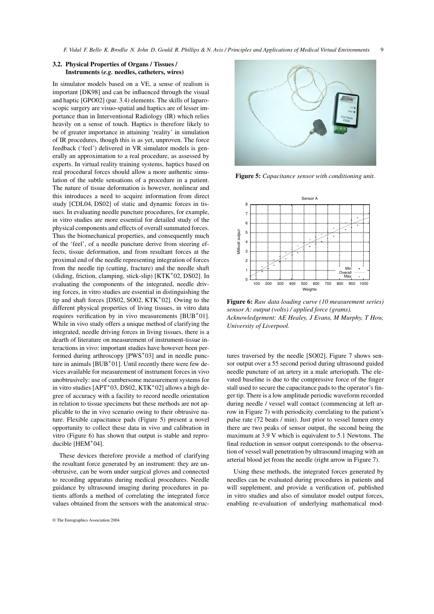# **3.2. Physical Properties of Organs / Tissues / Instruments (***e.g.* **needles, catheters, wires)**

In simulator models based on a VE, a sense of realism is important [DK98] and can be influenced through the visual and haptic [GPO02] (par. 3.4) elements. The skills of laparoscopic surgery are visuo-spatial and haptics are of lesser importance than in Interventional Radiology (IR) which relies heavily on a sense of touch. Haptics is therefore likely to be of greater importance in attaining 'reality' in simulation of IR procedures, though this is as yet, unproven. The force feedback ('feel') delivered in VR simulator models is generally an approximation to a real procedure, as assessed by experts. In virtual reality training systems, haptics based on real procedural forces should allow a more authentic simulation of the subtle sensations of a procedure in a patient. The nature of tissue deformation is however, nonlinear and this introduces a need to acquire information from direct study [CDL04, DS02] of static and dynamic forces in tissues. In evaluating needle puncture procedures, for example, in vitro studies are more essential for detailed study of the physical components and effects of overall summated forces. Thus the biomechanical properties, and consequently much of the 'feel', of a needle puncture derive from steering effects, tissue deformation, and from resultant forces at the proximal end of the needle representing integration of forces from the needle tip (cutting, fracture) and the needle shaft (sliding, friction, clamping, stick-slip) [KTK<sup>∗</sup> 02, DS02]. In evaluating the components of the integrated, needle driving forces, in vitro studies are essential in distinguishing the tip and shaft forces [DS02, SO02, KTK<sup>∗</sup> 02]. Owing to the different physical properties of living tissues, in vitro data requires verification by in vivo measurements  $[BUB^*01]$ . While in vivo study offers a unique method of clarifying the integrated, needle driving forces in living tissues, there is a dearth of literature on measurement of instrument-tissue interactions in vivo: important studies have however been performed during arthroscopy [PWS<sup>∗</sup> 03] and in needle puncture in animals [BUB<sup>∗</sup>01]. Until recently there were few devices available for measurement of instrument forces in vivo unobtrusively: use of cumbersome measurement systems for in vitro studies [APT<sup>∗</sup> 03, DS02, KTK<sup>∗</sup> 02] allows a high degree of accuracy with a facility to record needle orientation in relation to tissue specimens but these methods are not applicable to the in vivo scenario owing to their obtrusive nature. Flexible capacitance pads (Figure 5) present a novel opportunity to collect these data in vivo and calibration in vitro (Figure 6) has shown that output is stable and reproducible [ $HEM*04$ ].

These devices therefore provide a method of clarifying the resultant force generated by an instrument: they are unobtrusive, can be worn under surgical gloves and connected to recording apparatus during medical procedures. Needle guidance by ultrasound imaging during procedures in patients affords a method of correlating the integrated force values obtained from the sensors with the anatomical struc-



**Figure 5:** *Capacitance sensor with conditioning unit.*



**Figure 6:** *Raw data loading curve (10 measurement series) sensor A: output (volts) / applied force (grams). Acknowledgement: AE Healey, J Evans, M Murphy, T How, University of Liverpool.*

tures traversed by the needle [SO02]. Figure 7 shows sensor output over a 55 second period during ultrasound guided needle puncture of an artery in a male arteriopath. The elevated baseline is due to the compressive force of the finger stall used to secure the capacitance pads to the operator's finger tip. There is a low amplitude periodic waveform recorded during needle / vessel wall contact (commencing at left arrow in Figure 7) with periodicity correlating to the patient's pulse rate (72 beats / min). Just prior to vessel lumen entry there are two peaks of sensor output, the second being the maximum at 3.9 V which is equivalent to 5.1 Newtons. The final reduction in sensor output corresponds to the observation of vessel wall penetration by ultrasound imaging with an arterial blood jet from the needle (right arrow in Figure 7).

Using these methods, the integrated forces generated by needles can be evaluated during procedures in patients and will supplement, and provide a verification of, published in vitro studies and also of simulator model output forces, enabling re-evaluation of underlying mathematical mod-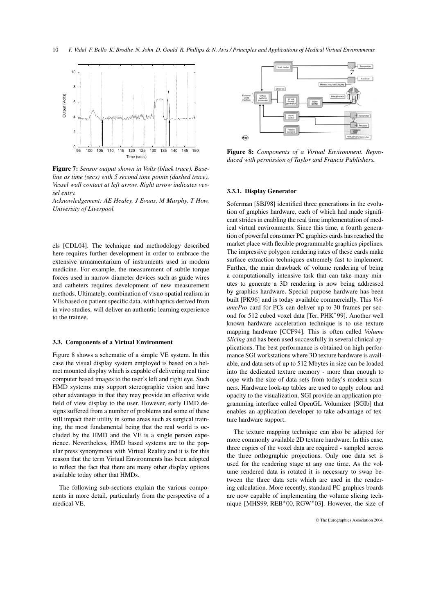

**Figure 7:** *Sensor output shown in Volts (black trace). Baseline as time (secs) with 5 second time points (dashed trace). Vessel wall contact at left arrow. Right arrow indicates vessel entry.*



els [CDL04]. The technique and methodology described here requires further development in order to embrace the extensive armamentarium of instruments used in modern medicine. For example, the measurement of subtle torque forces used in narrow diameter devices such as guide wires and catheters requires development of new measurement methods. Ultimately, combination of visuo-spatial realism in VEs based on patient specific data, with haptics derived from in vivo studies, will deliver an authentic learning experience to the trainee.

#### **3.3. Components of a Virtual Environment**

Figure 8 shows a schematic of a simple VE system. In this case the visual display system employed is based on a helmet mounted display which is capable of delivering real time computer based images to the user's left and right eye. Such HMD systems may support stereographic vision and have other advantages in that they may provide an effective wide field of view display to the user. However, early HMD designs suffered from a number of problems and some of these still impact their utility in some areas such as surgical training, the most fundamental being that the real world is occluded by the HMD and the VE is a single person experience. Nevertheless, HMD based systems are to the popular press synonymous with Virtual Reality and it is for this reason that the term Virtual Environments has been adopted to reflect the fact that there are many other display options available today other that HMDs.

The following sub-sections explain the various components in more detail, particularly from the perspective of a medical VE.



**Figure 8:** *Components of a Virtual Environment. Reproduced with permission of Taylor and Francis Publishers.*

#### **3.3.1. Display Generator**

Soferman [SBJ98] identified three generations in the evolution of graphics hardware, each of which had made significant strides in enabling the real time implementation of medical virtual environments. Since this time, a fourth generation of powerful consumer PC graphics cards has reached the market place with flexible programmable graphics pipelines. The impressive polygon rendering rates of these cards make surface extraction techniques extremely fast to implement. Further, the main drawback of volume rendering of being a computationally intensive task that can take many minutes to generate a 3D rendering is now being addressed by graphics hardware. Special purpose hardware has been built [PK96] and is today available commercially. This *VolumePro* card for PCs can deliver up to 30 frames per second for 512 cubed voxel data [Ter, PHK<sup>∗</sup> 99]. Another well known hardware acceleration technique is to use texture mapping hardware [CCF94]. This is often called *Volume Slicing* and has been used successfully in several clinical applications. The best performance is obtained on high performance SGI workstations where 3D texture hardware is available, and data sets of up to 512 Mbytes in size can be loaded into the dedicated texture memory - more than enough to cope with the size of data sets from today's modern scanners. Hardware look-up tables are used to apply colour and opacity to the visualization. SGI provide an application programming interface called OpenGL Volumizer [SGIb] that enables an application developer to take advantage of texture hardware support.

The texture mapping technique can also be adapted for more commonly available 2D texture hardware. In this case, three copies of the voxel data are required - sampled across the three orthographic projections. Only one data set is used for the rendering stage at any one time. As the volume rendered data is rotated it is necessary to swap between the three data sets which are used in the rendering calculation. More recently, standard PC graphics boards are now capable of implementing the volume slicing technique [MHS99, REB<sup>∗</sup>00, RGW<sup>∗</sup>03]. However, the size of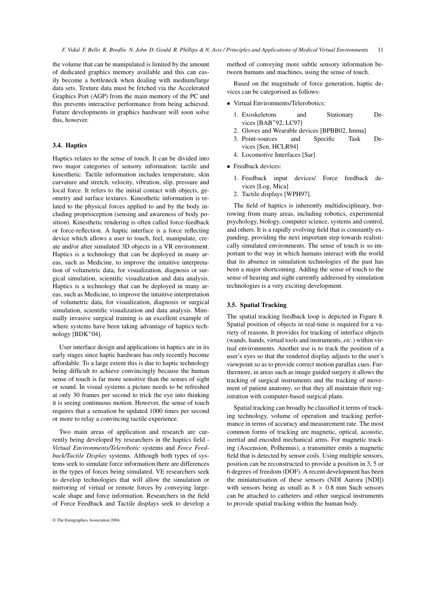the volume that can be manipulated is limited by the amount of dedicated graphics memory available and this can easily become a bottleneck when dealing with medium/large data sets. Texture data must be fetched via the Accelerated Graphics Port (AGP) from the main memory of the PC and this prevents interactive performance from being achieved. Future developments in graphics hardware will soon solve this, however.

## **3.4. Haptics**

Haptics relates to the sense of touch. It can be divided into two major categories of sensory information: tactile and kinesthetic. Tactile information includes temperature, skin curvature and stretch, velocity, vibration, slip, pressure and local force. It refers to the initial contact with objects, geometry and surface textures. Kinesthetic information is related to the physical forces applied to and by the body including proprioception (sensing and awareness of body position). Kinesthetic rendering is often called force-feedback or force-reflection. A haptic interface is a force reflecting device which allows a user to touch, feel, manipulate, create and/or alter simulated 3D objects in a VR environment. Haptics is a technology that can be deployed in many areas, such as Medicine, to improve the intuitive interpretation of volumetric data, for visualization, diagnosis or surgical simulation, scientific visualization and data analysis. Haptics is a technology that can be deployed in many areas, such as Medicine, to improve the intuitive interpretation of volumetric data, for visualization, diagnosis or surgical simulation, scientific visualization and data analysis. Minimally invasive surgical training is an excellent example of where systems have been taking advantage of haptics technology [BDK<sup>∗</sup> 04].

User interface design and applications in haptics are in its early stages since haptic hardware has only recently become affordable. To a large extent this is due to haptic technology being difficult to achieve convincingly because the human sense of touch is far more sensitive than the senses of sight or sound. In visual systems a picture needs to be refreshed at only 30 frames per second to trick the eye into thinking it is seeing continuous motion. However, the sense of touch requires that a sensation be updated 1000 times per second or more to relay a convincing tactile experience.

Two main areas of application and research are currently being developed by researchers in the haptics field - *Virtual Environments/Telerobotic* systems and *Force Feedback/Tactile Display* systems. Although both types of systems seek to simulate force information there are differences in the types of forces being simulated. VE researchers seek to develop technologies that will allow the simulation or mirroring of virtual or remote forces by conveying largescale shape and force information. Researchers in the field of Force Feedback and Tactile displays seek to develop a method of conveying more subtle sensory information between humans and machines, using the sense of touch.

Based on the magnitude of force generation, haptic devices can be categorised as follows:

- Virtual Environments/Telerobotics:
	- 1. Exoskeletons and Stationary Devices [BAB<sup>∗</sup> 92, LC97]
	- 2. Gloves and Wearable devices [BPBB02, Imma]
	- 3. Point-sources and Specific Task Devices [Sen, HCLR94]
	- 4. Locomotive Interfaces [Sar]
- Feedback devices:
	- 1. Feedback input devices/ Force feedback devices [Log, Mica]
	- 2. Tactile displays [WPH97].

The field of haptics is inherently multidisciplinary, borrowing from many areas, including robotics, experimental psychology, biology, computer science, systems and control, and others. It is a rapidly evolving field that is constantly expanding, providing the next important step towards realistically simulated environments. The sense of touch is so important to the way in which humans interact with the world that its absence in simulation technologies of the past has been a major shortcoming. Adding the sense of touch to the sense of hearing and sight currently addressed by simulation technologies is a very exciting development.

#### **3.5. Spatial Tracking**

The spatial tracking feedback loop is depicted in Figure 8. Spatial position of objects in real-time is required for a variety of reasons. It provides for tracking of interface objects (wands, hands, virtual tools and instruments, *etc.*) within virtual environments. Another use is to track the position of a user's eyes so that the rendered display adjusts to the user's viewpoint so as to provide correct motion parallax cues. Furthermore, in areas such as image guided surgery it allows the tracking of surgical instruments and the tracking of movement of patient anatomy, so that they all maintain their registration with computer-based surgical plans.

Spatial tracking can broadly be classified it terms of tracking technology, volume of operation and tracking performance in terms of accuracy and measurement rate. The most common forms of tracking are magnetic, optical, acoustic, inertial and encoded mechanical arms. For magnetic tracking (Ascension, Polhemus), a transmitter emits a magnetic field that is detected by sensor coils. Using multiple sensors, position can be reconstructed to provide a position in 3, 5 or 6 degrees of freedom (DOF). A recent development has been the miniaturisation of these sensors (NDI Aurora [NDI]) with sensors being as small as  $8 \times 0.8$  mm Such sensors can be attached to catheters and other surgical instruments to provide spatial tracking within the human body.

<sup>©</sup> The Eurographics Association 2004.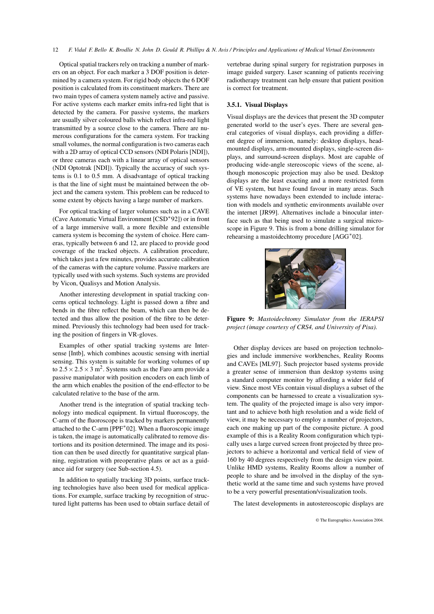Optical spatial trackers rely on tracking a number of markers on an object. For each marker a 3 DOF position is determined by a camera system. For rigid body objects the 6 DOF position is calculated from its constituent markers. There are two main types of camera system namely active and passive. For active systems each marker emits infra-red light that is detected by the camera. For passive systems, the markers are usually silver coloured balls which reflect infra-red light transmitted by a source close to the camera. There are numerous configurations for the camera system. For tracking small volumes, the normal configuration is two cameras each with a 2D array of optical CCD sensors (NDI Polaris [NDI]), or three cameras each with a linear array of optical sensors (NDI Optotrak [NDI]). Typically the accuracy of such systems is 0.1 to 0.5 mm. A disadvantage of optical tracking is that the line of sight must be maintained between the object and the camera system. This problem can be reduced to some extent by objects having a large number of markers.

For optical tracking of larger volumes such as in a CAVE (Cave Automatic Virtual Environment [CSD<sup>∗</sup> 92]) or in front of a large immersive wall, a more flexible and extensible camera system is becoming the system of choice. Here cameras, typically between 6 and 12, are placed to provide good coverage of the tracked objects. A calibration procedure, which takes just a few minutes, provides accurate calibration of the cameras with the capture volume. Passive markers are typically used with such systems. Such systems are provided by Vicon, Qualisys and Motion Analysis.

Another interesting development in spatial tracking concerns optical technology. Light is passed down a fibre and bends in the fibre reflect the beam, which can then be detected and thus allow the position of the fibre to be determined. Previously this technology had been used for tracking the position of fingers in VR-gloves.

Examples of other spatial tracking systems are Intersense [Intb], which combines acoustic sensing with inertial sensing. This system is suitable for working volumes of up to  $2.5 \times 2.5 \times 3$  m<sup>2</sup>. Systems such as the Faro arm provide a passive manipulator with position encoders on each limb of the arm which enables the position of the end-effector to be calculated relative to the base of the arm.

Another trend is the integration of spatial tracking technology into medical equipment. In virtual fluoroscopy, the C-arm of the fluoroscope is tracked by markers permanently attached to the C-arm [PPF<sup>∗</sup> 02]. When a fluoroscopic image is taken, the image is automatically calibrated to remove distortions and its position determined. The image and its position can then be used directly for quantitative surgical planning, registration with preoperative plans or act as a guidance aid for surgery (see Sub-section 4.5).

In addition to spatially tracking 3D points, surface tracking technologies have also been used for medical applications. For example, surface tracking by recognition of structured light patterns has been used to obtain surface detail of vertebrae during spinal surgery for registration purposes in image guided surgery. Laser scanning of patients receiving radiotherapy treatment can help ensure that patient position is correct for treatment.

## **3.5.1. Visual Displays**

Visual displays are the devices that present the 3D computer generated world to the user's eyes. There are several general categories of visual displays, each providing a different degree of immersion, namely: desktop displays, headmounted displays, arm-mounted displays, single-screen displays, and surround-screen displays. Most are capable of producing wide-angle stereoscopic views of the scene, although monoscopic projection may also be used. Desktop displays are the least exacting and a more restricted form of VE system, but have found favour in many areas. Such systems have nowadays been extended to include interaction with models and synthetic environments available over the internet [JR99]. Alternatives include a binocular interface such as that being used to simulate a surgical microscope in Figure 9. This is from a bone drilling simulator for rehearsing a mastoidechtomy procedure [AGG<sup>∗</sup> 02].



**Figure 9:** *Mastoidechtomy Simulator from the IERAPSI project (image courtesy of CRS4, and University of Pisa).*

Other display devices are based on projection technologies and include immersive workbenches, Reality Rooms and CAVEs [ML97]. Such projector based systems provide a greater sense of immersion than desktop systems using a standard computer monitor by affording a wider field of view. Since most VEs contain visual displays a subset of the components can be harnessed to create a visualization system. The quality of the projected image is also very important and to achieve both high resolution and a wide field of view, it may be necessary to employ a number of projectors, each one making up part of the composite picture. A good example of this is a Reality Room configuration which typically uses a large curved screen front projected by three projectors to achieve a horizontal and vertical field of view of 160 by 40 degrees respectively from the design view point. Unlike HMD systems, Reality Rooms allow a number of people to share and be involved in the display of the synthetic world at the same time and such systems have proved to be a very powerful presentation/visualization tools.

The latest developments in autostereoscopic displays are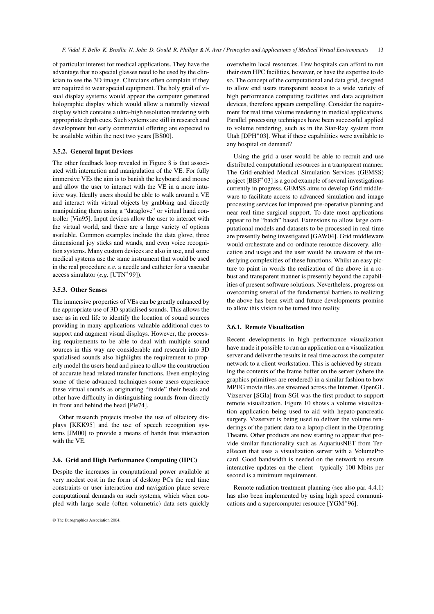of particular interest for medical applications. They have the advantage that no special glasses need to be used by the clinician to see the 3D image. Clinicians often complain if they are required to wear special equipment. The holy grail of visual display systems would appear the computer generated holographic display which would allow a naturally viewed display which contains a ultra-high resolution rendering with appropriate depth cues. Such systems are still in research and development but early commercial offering are expected to be available within the next two years [BS00].

#### **3.5.2. General Input Devices**

The other feedback loop revealed in Figure 8 is that associated with interaction and manipulation of the VE. For fully immersive VEs the aim is to banish the keyboard and mouse and allow the user to interact with the VE in a more intuitive way. Ideally users should be able to walk around a VE and interact with virtual objects by grabbing and directly manipulating them using a "dataglove" or virtual hand controller [Vin95]. Input devices allow the user to interact with the virtual world, and there are a large variety of options available. Common examples include the data glove, three dimensional joy sticks and wands, and even voice recognition systems. Many custom devices are also in use, and some medical systems use the same instrument that would be used in the real procedure *e.g.* a needle and catheter for a vascular access simulator (*e.g.* [UTN<sup>∗</sup> 99]).

#### **3.5.3. Other Senses**

The immersive properties of VEs can be greatly enhanced by the appropriate use of 3D spatialised sounds. This allows the user as in real life to identify the location of sound sources providing in many applications valuable additional cues to support and augment visual displays. However, the processing requirements to be able to deal with multiple sound sources in this way are considerable and research into 3D spatialised sounds also highlights the requirement to properly model the users head and pinea to allow the construction of accurate head related transfer functions. Even employing some of these advanced techniques some users experience these virtual sounds as originating "inside" their heads and other have difficulty in distinguishing sounds from directly in front and behind the head [Ple74].

Other research projects involve the use of olfactory displays [KKK95] and the use of speech recognition systems [JM00] to provide a means of hands free interaction with the VE.

# **3.6. Grid and High Performance Computing (HPC)**

Despite the increases in computational power available at very modest cost in the form of desktop PCs the real time constraints or user interaction and navigation place severe computational demands on such systems, which when coupled with large scale (often volumetric) data sets quickly

overwhelm local resources. Few hospitals can afford to run their own HPC facilities, however, or have the expertise to do so. The concept of the computational and data grid, designed to allow end users transparent access to a wide variety of high performance computing facilities and data acquisition devices, therefore appears compelling. Consider the requirement for real time volume rendering in medical applications. Parallel processing techniques have been successful applied to volume rendering, such as in the Star-Ray system from Utah [DPH<sup>\*</sup>03]. What if these capabilities were available to any hospital on demand?

Using the grid a user would be able to recruit and use distributed computational resources in a transparent manner. The Grid-enabled Medical Simulation Services (GEMSS) project [BBF<sup>\*</sup>03] is a good example of several investigations currently in progress. GEMSS aims to develop Grid middleware to facilitate access to advanced simulation and image processing services for improved pre-operative planning and near real-time surgical support. To date most applications appear to be "batch" based. Extensions to allow large computational models and datasets to be processed in real-time are presently being investigated [GAW04]. Grid middleware would orchestrate and co-ordinate resource discovery, allocation and usage and the user would be unaware of the underlying complexities of these functions. Whilst an easy picture to paint in words the realization of the above in a robust and transparent manner is presently beyond the capabilities of present software solutions. Nevertheless, progress on overcoming several of the fundamental barriers to realizing the above has been swift and future developments promise to allow this vision to be turned into reality.

#### **3.6.1. Remote Visualization**

Recent developments in high performance visualization have made it possible to run an application on a visualization server and deliver the results in real time across the computer network to a client workstation. This is achieved by streaming the contents of the frame buffer on the server (where the graphics primitives are rendered) in a similar fashion to how MPEG movie files are streamed across the Internet. OpenGL Vizserver [SGIa] from SGI was the first product to support remote visualization. Figure 10 shows a volume visualization application being used to aid with hepato-pancreatic surgery. Vizserver is being used to deliver the volume renderings of the patient data to a laptop client in the Operating Theatre. Other products are now starting to appear that provide similar functionality such as AquariusNET from TeraRecon that uses a visualization server with a VolumePro card. Good bandwidth is needed on the network to ensure interactive updates on the client - typically 100 Mbits per second is a minimum requirement.

Remote radiation treatment planning (see also par. 4.4.1) has also been implemented by using high speed communications and a supercomputer resource [YGM<sup>∗</sup> 96].

<sup>©</sup> The Eurographics Association 2004.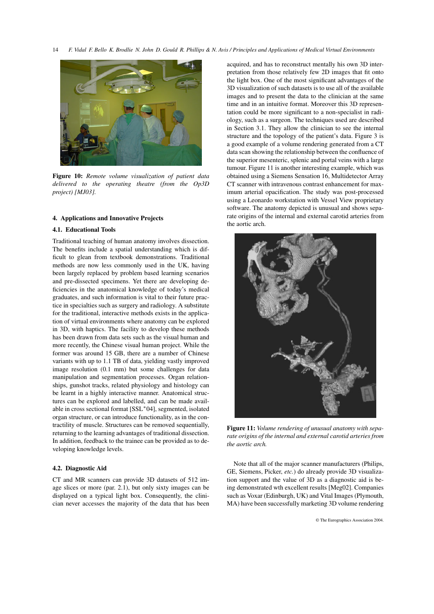

**Figure 10:** *Remote volume visualization of patient data delivered to the operating theatre (from the Op3D project) [MJ03].*

# **4. Applications and Innovative Projects**

## **4.1. Educational Tools**

Traditional teaching of human anatomy involves dissection. The benefits include a spatial understanding which is difficult to glean from textbook demonstrations. Traditional methods are now less commonly used in the UK, having been largely replaced by problem based learning scenarios and pre-dissected specimens. Yet there are developing deficiencies in the anatomical knowledge of today's medical graduates, and such information is vital to their future practice in specialties such as surgery and radiology. A substitute for the traditional, interactive methods exists in the application of virtual environments where anatomy can be explored in 3D, with haptics. The facility to develop these methods has been drawn from data sets such as the visual human and more recently, the Chinese visual human project. While the former was around 15 GB, there are a number of Chinese variants with up to 1.1 TB of data, yielding vastly improved image resolution (0.1 mm) but some challenges for data manipulation and segmentation processes. Organ relationships, gunshot tracks, related physiology and histology can be learnt in a highly interactive manner. Anatomical structures can be explored and labelled, and can be made available in cross sectional format [SSL<sup>∗</sup> 04], segmented, isolated organ structure, or can introduce functionality, as in the contractility of muscle. Structures can be removed sequentially, returning to the learning advantages of traditional dissection. In addition, feedback to the trainee can be provided as to developing knowledge levels.

#### **4.2. Diagnostic Aid**

CT and MR scanners can provide 3D datasets of 512 image slices or more (par. 2.1), but only sixty images can be displayed on a typical light box. Consequently, the clinician never accesses the majority of the data that has been

acquired, and has to reconstruct mentally his own 3D interpretation from those relatively few 2D images that fit onto the light box. One of the most significant advantages of the 3D visualization of such datasets is to use all of the available images and to present the data to the clinician at the same time and in an intuitive format. Moreover this 3D representation could be more significant to a non-specialist in radiology, such as a surgeon. The techniques used are described in Section 3.1. They allow the clinician to see the internal structure and the topology of the patient's data. Figure 3 is a good example of a volume rendering generated from a CT data scan showing the relationship between the confluence of the superior mesenteric, splenic and portal veins with a large tumour. Figure 11 is another interesting example, which was obtained using a Siemens Sensation 16, Multidetector Array CT scanner with intravenous contrast enhancement for maximum arterial opacification. The study was post-processed using a Leonardo workstation with Vessel View proprietary software. The anatomy depicted is unusual and shows separate origins of the internal and external carotid arteries from the aortic arch.



**Figure 11:** *Volume rendering of unusual anatomy with separate origins of the internal and external carotid arteries from the aortic arch.*

Note that all of the major scanner manufacturers (Philips, GE, Siemens, Picker, *etc.*) do already provide 3D visualization support and the value of 3D as a diagnostic aid is being demonstrated wth excellent results [Meg02]. Companies such as Voxar (Edinburgh, UK) and Vital Images (Plymouth, MA) have been successfully marketing 3D volume rendering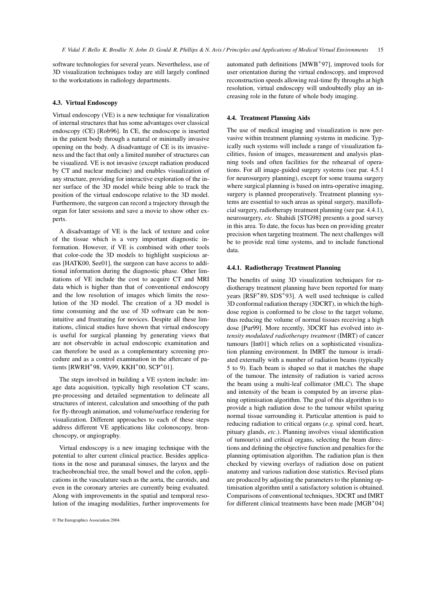software technologies for several years. Nevertheless, use of 3D visualization techniques today are still largely confined to the workstations in radiology departments.

# **4.3. Virtual Endoscopy**

Virtual endoscopy (VE) is a new technique for visualization of internal structures that has some advantages over classical endoscopy (CE) [Rob96]. In CE, the endoscope is inserted in the patient body through a natural or minimally invasive opening on the body. A disadvantage of CE is its invasiveness and the fact that only a limited number of structures can be visualized. VE is not invasive (except radiation produced by CT and nuclear medicine) and enables visualization of any structure, providing for interactive exploration of the inner surface of the 3D model while being able to track the position of the virtual endoscope relative to the 3D model. Furthermore, the surgeon can record a trajectory through the organ for later sessions and save a movie to show other experts.

A disadvantage of VE is the lack of texture and color of the tissue which is a very important diagnostic information. However, if VE is combined with other tools that color-code the 3D models to highlight suspicious areas [HATK00, See01], the surgeon can have access to additional information during the diagnostic phase. Other limitations of VE include the cost to acquire CT and MRI data which is higher than that of conventional endoscopy and the low resolution of images which limits the resolution of the 3D model. The creation of a 3D model is time consuming and the use of 3D software can be nonintuitive and frustrating for novices. Despite all these limitations, clinical studies have shown that virtual endoscopy is useful for surgical planning by generating views that are not observable in actual endoscopic examination and can therefore be used as a complementary screening procedure and as a control examination in the aftercare of patients [RWRH<sup>\*</sup>98, VA99, KKH<sup>\*</sup>00, SCP<sup>\*</sup>01].

The steps involved in building a VE system include: image data acquisition, typically high resolution CT scans, pre-processing and detailed segmentation to delineate all structures of interest, calculation and smoothing of the path for fly-through animation, and volume/surface rendering for visualization. Different approaches to each of these steps address different VE applications like colonoscopy, bronchoscopy, or angiography.

Virtual endoscopy is a new imaging technique with the potential to alter current clinical practice. Besides applications in the nose and paranasal sinuses, the larynx and the tracheobronchial tree, the small bowel and the colon, applications in the vasculature such as the aorta, the carotids, and even in the coronary arteries are currently being evaluated. Along with improvements in the spatial and temporal resolution of the imaging modalities, further improvements for

automated path definitions [MWB<sup>∗</sup> 97], improved tools for user orientation during the virtual endoscopy, and improved reconstruction speeds allowing real-time fly throughs at high resolution, virtual endoscopy will undoubtedly play an increasing role in the future of whole body imaging.

#### **4.4. Treatment Planning Aids**

The use of medical imaging and visualization is now pervasive within treatment planning systems in medicine. Typically such systems will include a range of visualization facilities, fusion of images, measurement and analysis planning tools and often facilities for the rehearsal of operations. For all image-guided surgery systems (see par. 4.5.1 for neurosurgery planning), except for some trauma surgery where surgical planning is based on intra-operative imaging, surgery is planned preoperatively. Treatment planning systems are essential to such areas as spinal surgery, maxillofacial surgery, radiotherapy treatment planning (see par. 4.4.1), neurosurgery, *etc.* Shahidi [STG98] presents a good survey in this area. To date, the focus has been on providing greater precision when targeting treatment. The next challenges will be to provide real time systems, and to include functional data.

## **4.4.1. Radiotherapy Treatment Planning**

The benefits of using 3D visualization techniques for radiotherapy treatment planning have been reported for many years [RSF<sup>∗</sup> 89, SDS<sup>∗</sup> 93]. A well used technique is called 3D conformal radiation therapy (3DCRT), in which the highdose region is conformed to be close to the target volume, thus reducing the volume of normal tissues receiving a high dose [Pur99]. More recently, 3DCRT has evolved into *intensity modulated radiotherapy treatment* (IMRT) of cancer tumours [Int01] which relies on a sophisticated visualization planning environment. In IMRT the tumour is irradiated externally with a number of radiation beams (typically 5 to 9). Each beam is shaped so that it matches the shape of the tumour. The intensity of radiation is varied across the beam using a multi-leaf collimator (MLC). The shape and intensity of the beam is computed by an inverse planning optimisation algorithm. The goal of this algorithm is to provide a high radiation dose to the tumour whilst sparing normal tissue surrounding it. Particular attention is paid to reducing radiation to critical organs (*e.g.* spinal cord, heart, pituary glands, *etc.*). Planning involves visual identification of tumour(s) and critical organs, selecting the beam directions and defining the objective function and penalties for the planning optimisation algorithm. The radiation plan is then checked by viewing overlays of radiation dose on patient anatomy and various radiation dose statistics. Revised plans are produced by adjusting the parameters to the planning optimisation algorithm until a satisfactory solution is obtained. Comparisons of conventional techniques, 3DCRT and IMRT for different clinical treatments have been made [MGB<sup>∗</sup> 04]

<sup>©</sup> The Eurographics Association 2004.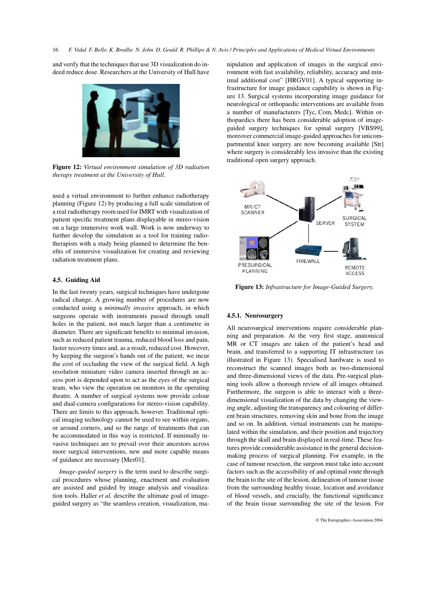and verify that the techniques that use 3D visualization do indeed reduce dose. Researchers at the University of Hull have



**Figure 12:** *Virtual environment simulation of 3D radiation therapy treatment at the University of Hull.*

used a virtual environment to further enhance radiotherapy planning (Figure 12) by producing a full scale simulation of a real radiotherapy room used for IMRT with visualization of patient specific treatment plans displayable in stereo-vision on a large immersive work wall. Work is now underway to further develop the simulation as a tool for training radiotherapists with a study being planned to determine the benefits of immersive visualization for creating and reviewing radiation treatment plans.

#### **4.5. Guiding Aid**

In the last twenty years, surgical techniques have undergone radical change. A growing number of procedures are now conducted using a *minimally invasive* approach, in which surgeons operate with instruments passed through small holes in the patient, not much larger than a centimetre in diameter. There are significant benefits to minimal invasion, such as reduced patient trauma, reduced blood loss and pain, faster recovery times and, as a result, reduced cost. However, by keeping the surgeon's hands out of the patient, we incur the cost of occluding the view of the surgical field. A high resolution miniature video camera inserted through an access port is depended upon to act as the eyes of the surgical team, who view the operation on monitors in the operating theatre. A number of surgical systems now provide colour and dual-camera configurations for stereo-vision capability. There are limits to this approach, however. Traditional optical imaging technology cannot be used to see within organs, or around corners, and so the range of treatments that can be accommodated in this way is restricted. If minimally invasive techniques are to prevail over their ancestors across more surgical interventions, new and more capable means of guidance are necessary [Mez01].

*Image-guided surgery* is the term used to describe surgical procedures whose planning, enactment and evaluation are assisted and guided by image analysis and visualization tools. Haller *et al.* describe the ultimate goal of imageguided surgery as "the seamless creation, visualization, manipulation and application of images in the surgical environment with fast availability, reliability, accuracy and minimal additional cost" [HRGV01]. A typical supporting infrastructure for image guidance capability is shown in Figure 13. Surgical systems incorporating image guidance for neurological or orthopaedic interventions are available from a number of manufacturers [Tyc, Com, Medc]. Within orthopaedics there has been considerable adoption of imageguided surgery techniques for spinal surgery [VBS99], moreover commercial image-guided approaches for unicompartmental knee surgery are now becoming available [Str] where surgery is considerably less invasive than the existing traditional open surgery approach.



**Figure 13:** *Infrastructure for Image-Guided Surgery.*

# **4.5.1. Neurosurgery**

All neurosurgical interventions require considerable planning and preparation. At the very first stage, anatomical MR or CT images are taken of the patient's head and brain, and transferred to a supporting IT infrastructure (as illustrated in Figure 13). Specialised hardware is used to reconstruct the scanned images both as two-dimensional and three-dimensional views of the data. Pre-surgical planning tools allow a thorough review of all images obtained. Furthermore, the surgeon is able to interact with a threedimensional visualization of the data by changing the viewing angle, adjusting the transparency and colouring of different brain structures, removing skin and bone from the image and so on. In addition, virtual instruments can be manipulated within the simulation, and their position and trajectory through the skull and brain displayed in real-time. These features provide considerable assistance in the general decisionmaking process of surgical planning. For example, in the case of tumour resection, the surgeon must take into account factors such as the accessibility of and optimal route through the brain to the site of the lesion, delineation of tumour tissue from the surrounding healthy tissue, location and avoidance of blood vessels, and crucially, the functional significance of the brain tissue surrounding the site of the lesion. For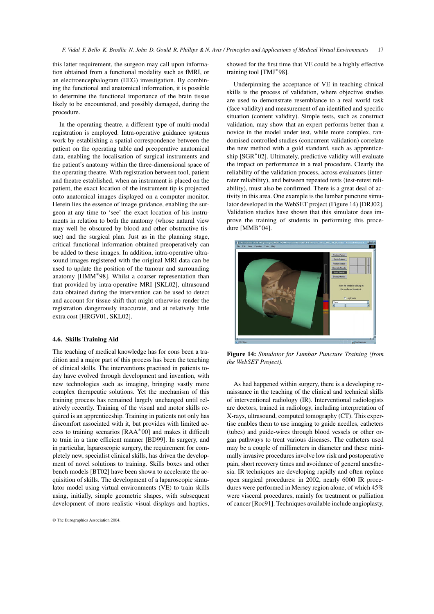this latter requirement, the surgeon may call upon information obtained from a functional modality such as fMRI, or an electroencephalogram (EEG) investigation. By combining the functional and anatomical information, it is possible to determine the functional importance of the brain tissue likely to be encountered, and possibly damaged, during the procedure.

In the operating theatre, a different type of multi-modal registration is employed. Intra-operative guidance systems work by establishing a spatial correspondence between the patient on the operating table and preoperative anatomical data, enabling the localisation of surgical instruments and the patient's anatomy within the three-dimensional space of the operating theatre. With registration between tool, patient and theatre established, when an instrument is placed on the patient, the exact location of the instrument tip is projected onto anatomical images displayed on a computer monitor. Herein lies the essence of image guidance, enabling the surgeon at any time to 'see' the exact location of his instruments in relation to both the anatomy (whose natural view may well be obscured by blood and other obstructive tissue) and the surgical plan. Just as in the planning stage, critical functional information obtained preoperatively can be added to these images. In addition, intra-operative ultrasound images registered with the original MRI data can be used to update the position of the tumour and surrounding anatomy [HMM<sup>∗</sup> 98]. Whilst a coarser representation than that provided by intra-operative MRI [SKL02], ultrasound data obtained during the intervention can be used to detect and account for tissue shift that might otherwise render the registration dangerously inaccurate, and at relatively little extra cost [HRGV01, SKL02].

## **4.6. Skills Training Aid**

The teaching of medical knowledge has for eons been a tradition and a major part of this process has been the teaching of clinical skills. The interventions practised in patients today have evolved through development and invention, with new technologies such as imaging, bringing vastly more complex therapeutic solutions. Yet the mechanism of this training process has remained largely unchanged until relatively recently. Training of the visual and motor skills required is an apprenticeship. Training in patients not only has discomfort associated with it, but provides with limited access to training scenarios [RAA<sup>∗</sup> 00] and makes it difficult to train in a time efficient manner [BD99]. In surgery, and in particular, laparoscopic surgery, the requirement for completely new, specialist clinical skills, has driven the development of novel solutions to training. Skills boxes and other bench models [BT02] have been shown to accelerate the acquisition of skills. The development of a laparoscopic simulator model using virtual environments (VE) to train skills using, initially, simple geometric shapes, with subsequent development of more realistic visual displays and haptics,

showed for the first time that VE could be a highly effective training tool [TMJ<sup>\*98]</sup>.

Underpinning the acceptance of VE in teaching clinical skills is the process of validation, where objective studies are used to demonstrate resemblance to a real world task (face validity) and measurement of an identified and specific situation (content validity). Simple tests, such as construct validation, may show that an expert performs better than a novice in the model under test, while more complex, randomised controlled studies (concurrent validation) correlate the new method with a gold standard, such as apprenticeship [SGR<sup>∗</sup>02]. Ultimately, predictive validity will evaluate the impact on performance in a real procedure. Clearly the reliability of the validation process, across evaluators (interrater reliability), and between repeated tests (test-retest reliability), must also be confirmed. There is a great deal of activity in this area. One example is the lumbar puncture simulator developed in the WebSET project (Figure 14) [DRJ02]. Validation studies have shown that this simulator does improve the training of students in performing this procedure [MMB<sup>∗</sup> 04].



**Figure 14:** *Simulator for Lumbar Puncture Training (from the WebSET Project).*

As had happened within surgery, there is a developing renaissance in the teaching of the clinical and technical skills of interventional radiology (IR). Interventional radiologists are doctors, trained in radiology, including interpretation of X-rays, ultrasound, computed tomography (CT). This expertise enables them to use imaging to guide needles, catheters (tubes) and guide-wires through blood vessels or other organ pathways to treat various diseases. The catheters used may be a couple of millimeters in diameter and these minimally invasive procedures involve low risk and postoperative pain, short recovery times and avoidance of general anesthesia. IR techniques are developing rapidly and often replace open surgical procedures: in 2002, nearly 6000 IR procedures were performed in Mersey region alone, of which 45% were visceral procedures, mainly for treatment or palliation of cancer [Roc91]. Techniques available include angioplasty,

<sup>©</sup> The Eurographics Association 2004.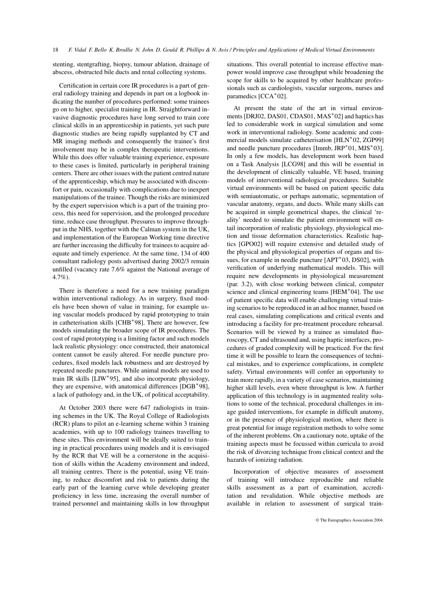stenting, stentgrafting, biopsy, tumour ablation, drainage of abscess, obstructed bile ducts and renal collecting systems.

Certification in certain core IR procedures is a part of general radiology training and depends in part on a logbook indicating the number of procedures performed: some trainees go on to higher, specialist training in IR. Straightforward invasive diagnostic procedures have long served to train core clinical skills in an apprenticeship in patients, yet such pure diagnostic studies are being rapidly supplanted by CT and MR imaging methods and consequently the trainee's first involvement may be in complex therapeutic interventions. While this does offer valuable training experience, exposure to these cases is limited, particularly in peripheral training centers. There are other issues with the patient centred nature of the apprenticeship, which may be associated with discomfort or pain, occasionally with complications due to inexpert manipulations of the trainee. Though the risks are minimized by the expert supervision which is a part of the training process, this need for supervision, and the prolonged procedure time, reduce case throughput. Pressures to improve throughput in the NHS, together with the Calman system in the UK, and implementation of the European Working time directive are further increasing the difficulty for trainees to acquire adequate and timely experience. At the same time, 134 of 400 consultant radiology posts advertised during 2002/3 remain unfilled (vacancy rate 7.6% against the National average of 4.7%).

There is therefore a need for a new training paradigm within interventional radiology. As in surgery, fixed models have been shown of value in training, for example using vascular models produced by rapid prototyping to train in catheterisation skills [CHB<sup>∗</sup> 98]. There are however, few models simulating the broader scope of IR procedures. The cost of rapid prototyping is a limiting factor and such models lack realistic physiology: once constructed, their anatomical content cannot be easily altered. For needle puncture procedures, fixed models lack robustness and are destroyed by repeated needle punctures. While animal models are used to train IR skills [LIW<sup>∗</sup> 95], and also incorporate physiology, they are expensive, with anatomical differences [DGB<sup>∗</sup> 98], a lack of pathology and, in the UK, of political acceptability.

At October 2003 there were 647 radiologists in training schemes in the UK. The Royal College of Radiologists (RCR) plans to pilot an e-learning scheme within 3 training academies, with up to 100 radiology trainees travelling to these sites. This environment will be ideally suited to training in practical procedures using models and it is envisaged by the RCR that VE will be a cornerstone in the acquisition of skills within the Academy environment and indeed, all training centres. There is the potential, using VE training, to reduce discomfort and risk to patients during the early part of the learning curve while developing greater proficiency in less time, increasing the overall number of trained personnel and maintaining skills in low throughput

situations. This overall potential to increase effective manpower would improve case throughput while broadening the scope for skills to be acquired by other healthcare professionals such as cardiologists, vascular surgeons, nurses and paramedics [CCA<sup>∗</sup> 02].

At present the state of the art in virtual environments [DRJ02, DAS01, CDAS01, MAS\*02] and haptics has led to considerable work in surgical simulation and some work in interventional radiology. Some academic and commercial models simulate catheterisation [HLN<sup>∗</sup>02, ZGP99] and needle puncture procedures [Immb, JRP<sup>∗</sup> 01, MJS<sup>∗</sup> 03]. In only a few models, has development work been based on a Task Analysis [LCG98] and this will be essential in the development of clinically valuable, VE based, training models of interventional radiological procedures. Suitable virtual environments will be based on patient specific data with semiautomatic, or perhaps automatic, segmentation of vascular anatomy, organs, and ducts. While many skills can be acquired in simple geometrical shapes, the clinical 'reality' needed to simulate the patient environment will entail incorporation of realistic physiology, physiological motion and tissue deformation characteristics. Realistic haptics [GPO02] will require extensive and detailed study of the physical and physiological properties of organs and tissues, for example in needle puncture  $[APT^*03, DS02]$ , with verification of underlying mathematical models. This will require new developments in physiological measurement (par. 3.2), with close working between clinical, computer science and clinical engineering teams [HEM<sup>\*</sup>04]. The use of patient specific data will enable challenging virtual training scenarios to be reproduced in an ad hoc manner, based on real cases, simulating complications and critical events and introducing a facility for pre-treatment procedure rehearsal. Scenarios will be viewed by a trainee as simulated fluoroscopy, CT and ultrasound and, using haptic interfaces, procedures of graded complexity will be practiced. For the first time it will be possible to learn the consequences of technical mistakes, and to experience complications, in complete safety. Virtual environments will confer an opportunity to train more rapidly, in a variety of case scenarios, maintaining higher skill levels, even where throughput is low. A further application of this technology is in augmented reality solutions to some of the technical, procedural challenges in image guided interventions, for example in difficult anatomy, or in the presence of physiological motion, where there is great potential for image registration methods to solve some of the inherent problems. On a cautionary note, uptake of the training aspects must be focussed within curricula to avoid the risk of divorcing technique from clinical context and the hazards of ionizing radiation.

Incorporation of objective measures of assessment of training will introduce reproducible and reliable skills assessment as a part of examination, accreditation and revalidation. While objective methods are available in relation to assessment of surgical train-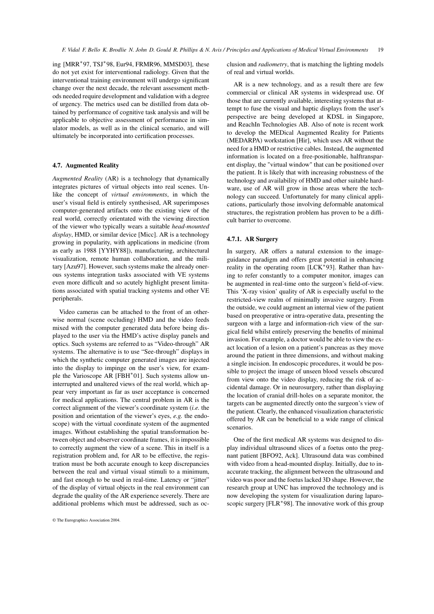ing [MRR<sup>∗</sup> 97, TSJ<sup>∗</sup> 98, Eur94, FRMR96, MMSD03], these do not yet exist for interventional radiology. Given that the interventional training environment will undergo significant change over the next decade, the relevant assessment methods needed require development and validation with a degree of urgency. The metrics used can be distilled from data obtained by performance of cognitive task analysis and will be applicable to objective assessment of performance in simulator models, as well as in the clinical scenario, and will ultimately be incorporated into certification processes.

#### **4.7. Augmented Reality**

*Augmented Reality* (AR) is a technology that dynamically integrates pictures of virtual objects into real scenes. Unlike the concept of *virtual environments*, in which the user's visual field is entirely synthesised, AR superimposes computer-generated artifacts onto the existing view of the real world, correctly orientated with the viewing direction of the viewer who typically wears a suitable *head-mounted display*, HMD, or similar device [Micc]. AR is a technology growing in popularity, with applications in medicine (from as early as 1988 [YYHY88]), manufacturing, architectural visualization, remote human collaboration, and the military [Azu97]. However, such systems make the already onerous systems integration tasks associated with VE systems even more difficult and so acutely highlight present limitations associated with spatial tracking systems and other VE peripherals.

Video cameras can be attached to the front of an otherwise normal (scene occluding) HMD and the video feeds mixed with the computer generated data before being displayed to the user via the HMD's active display panels and optics. Such systems are referred to as "Video-through" AR systems. The alternative is to use "See-through" displays in which the synthetic computer generated images are injected into the display to impinge on the user's view, for example the Varioscope AR [FBH<sup>∗</sup>01]. Such systems allow uninterrupted and unaltered views of the real world, which appear very important as far as user acceptance is concerned for medical applications. The central problem in AR is the correct alignment of the viewer's coordinate system (*i.e.* the position and orientation of the viewer's eyes, *e.g.* the endoscope) with the virtual coordinate system of the augmented images. Without establishing the spatial transformation between object and observer coordinate frames, it is impossible to correctly augment the view of a scene. This in itself is a registration problem and, for AR to be effective, the registration must be both accurate enough to keep discrepancies between the real and virtual visual stimuli to a minimum, and fast enough to be used in real-time. Latency or "jitter" of the display of virtual objects in the real environment can degrade the quality of the AR experience severely. There are additional problems which must be addressed, such as occlusion and *radiometry*, that is matching the lighting models of real and virtual worlds.

AR is a new technology, and as a result there are few commercial or clinical AR systems in widespread use. Of those that are currently available, interesting systems that attempt to fuse the visual and haptic displays from the user's perspective are being developed at KDSL in Singapore, and ReachIn Technologies AB. Also of note is recent work to develop the MEDical Augmented Reality for Patients (MEDARPA) workstation [Hir], which uses AR without the need for a HMD or restrictive cables. Instead, the augmented information is located on a free-positionable, halftransparent display, the "virtual window" that can be positioned over the patient. It is likely that with increasing robustness of the technology and availability of HMD and other suitable hardware, use of AR will grow in those areas where the technology can succeed. Unfortunately for many clinical applications, particularly those involving deformable anatomical structures, the registration problem has proven to be a difficult barrier to overcome.

#### **4.7.1. AR Surgery**

In surgery, AR offers a natural extension to the imageguidance paradigm and offers great potential in enhancing reality in the operating room [LCK<sup>\*93</sup>]. Rather than having to refer constantly to a computer monitor, images can be augmented in real-time onto the surgeon's field-of-view. This 'X-ray vision' quality of AR is especially useful to the restricted-view realm of minimally invasive surgery. From the outside, we could augment an internal view of the patient based on preoperative or intra-operative data, presenting the surgeon with a large and information-rich view of the surgical field whilst entirely preserving the benefits of minimal invasion. For example, a doctor would be able to view the exact location of a lesion on a patient's pancreas as they move around the patient in three dimensions, and without making a single incision. In endoscopic procedures, it would be possible to project the image of unseen blood vessels obscured from view onto the video display, reducing the risk of accidental damage. Or in neurosurgery, rather than displaying the location of cranial drill-holes on a separate monitor, the targets can be augmented directly onto the surgeon's view of the patient. Clearly, the enhanced visualization characteristic offered by AR can be beneficial to a wide range of clinical scenarios.

One of the first medical AR systems was designed to display individual ultrasound slices of a foetus onto the pregnant patient [BFO92, Ack]. Ultrasound data was combined with video from a head-mounted display. Initially, due to inaccurate tracking, the alignment between the ultrasound and video was poor and the foetus lacked 3D shape. However, the research group at UNC has improved the technology and is now developing the system for visualization during laparoscopic surgery  $[FLR^*98]$ . The innovative work of this group

<sup>©</sup> The Eurographics Association 2004.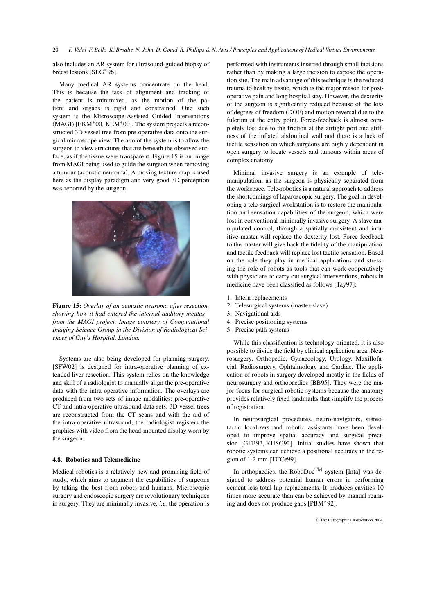also includes an AR system for ultrasound-guided biopsy of breast lesions [SLG<sup>∗</sup> 96].

Many medical AR systems concentrate on the head. This is because the task of alignment and tracking of the patient is minimized, as the motion of the patient and organs is rigid and constrained. One such system is the Microscope-Assisted Guided Interventions (MAGI) [EKM<sup>∗</sup> 00, KEM<sup>∗</sup> 00]. The system projects a reconstructed 3D vessel tree from pre-operative data onto the surgical microscope view. The aim of the system is to allow the surgeon to view structures that are beneath the observed surface, as if the tissue were transparent. Figure 15 is an image from MAGI being used to guide the surgeon when removing a tumour (acoustic neuroma). A moving texture map is used here as the display paradigm and very good 3D perception was reported by the surgeon.



**Figure 15:** *Overlay of an acoustic neuroma after resection, showing how it had entered the internal auditory meatus from the MAGI project. Image courtesy of Computational Imaging Science Group in the Division of Radiological Sciences of Guy's Hospital, London.*

Systems are also being developed for planning surgery. [SFW02] is designed for intra-operative planning of extended liver resection. This system relies on the knowledge and skill of a radiologist to manually align the pre-operative data with the intra-operative information. The overlays are produced from two sets of image modalities: pre-operative CT and intra-operative ultrasound data sets. 3D vessel trees are reconstructed from the CT scans and with the aid of the intra-operative ultrasound, the radiologist registers the graphics with video from the head-mounted display worn by the surgeon.

# **4.8. Robotics and Telemedicine**

Medical robotics is a relatively new and promising field of study, which aims to augment the capabilities of surgeons by taking the best from robots and humans. Microscopic surgery and endoscopic surgery are revolutionary techniques in surgery. They are minimally invasive, *i.e.* the operation is performed with instruments inserted through small incisions rather than by making a large incision to expose the operation site. The main advantage of this technique is the reduced trauma to healthy tissue, which is the major reason for postoperative pain and long hospital stay. However, the dexterity of the surgeon is significantly reduced because of the loss of degrees of freedom (DOF) and motion reversal due to the fulcrum at the entry point. Force-feedback is almost completely lost due to the friction at the airtight port and stiffness of the inflated abdominal wall and there is a lack of tactile sensation on which surgeons are highly dependent in open surgery to locate vessels and tumours within areas of complex anatomy.

Minimal invasive surgery is an example of telemanipulation, as the surgeon is physically separated from the workspace. Tele-robotics is a natural approach to address the shortcomings of laparoscopic surgery. The goal in developing a tele-surgical workstation is to restore the manipulation and sensation capabilities of the surgeon, which were lost in conventional minimally invasive surgery. A slave manipulated control, through a spatially consistent and intuitive master will replace the dexterity lost. Force feedback to the master will give back the fidelity of the manipulation, and tactile feedback will replace lost tactile sensation. Based on the role they play in medical applications and stressing the role of robots as tools that can work cooperatively with physicians to carry out surgical interventions, robots in medicine have been classified as follows [Tay97]:

- 1. Intern replacements
- 2. Telesurgical systems (master-slave)
- 3. Navigational aids
- 4. Precise positioning systems
- 5. Precise path systems

While this classification is technology oriented, it is also possible to divide the field by clinical application area: Neurosurgery, Orthopedic, Gynaecology, Urology, Maxillofacial, Radiosurgery, Ophtalmology and Cardiac. The application of robots in surgery developed mostly in the fields of neurosurgery and orthopaedics [BB95]. They were the major focus for surgical robotic systems because the anatomy provides relatively fixed landmarks that simplify the process of registration.

In neurosurgical procedures, neuro-navigators, stereotactic localizers and robotic assistants have been developed to improve spatial accuracy and surgical precision [GFB93, KHSG92]. Initial studies have shown that robotic systems can achieve a positional accuracy in the region of 1-2 mm [TCCe99].

In orthopaedics, the RoboDoc<sup>TM</sup> system [Inta] was designed to address potential human errors in performing cement-less total hip replacements. It produces cavities 10 times more accurate than can be achieved by manual reaming and does not produce gaps [PBM<sup>∗</sup> 92].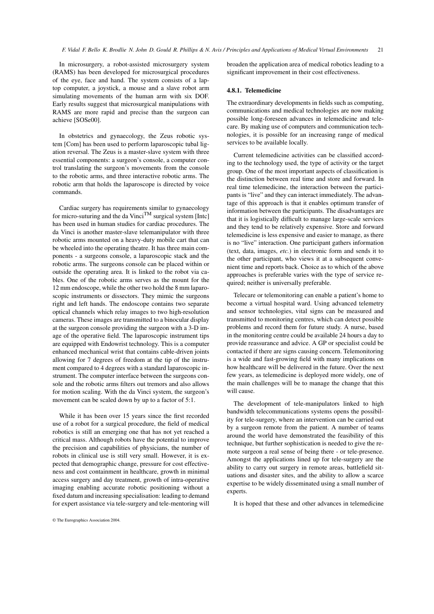In microsurgery, a robot-assisted microsurgery system (RAMS) has been developed for microsurgical procedures of the eye, face and hand. The system consists of a laptop computer, a joystick, a mouse and a slave robot arm simulating movements of the human arm with six DOF. Early results suggest that microsurgical manipulations with RAMS are more rapid and precise than the surgeon can achieve [SOSe00].

In obstetrics and gynaecology, the Zeus robotic system [Com] has been used to perform laparoscopic tubal ligation reversal. The Zeus is a master-slave system with three essential components: a surgeon's console, a computer control translating the surgeon's movements from the console to the robotic arms, and three interactive robotic arms. The robotic arm that holds the laparoscope is directed by voice commands.

Cardiac surgery has requirements similar to gynaecology for micro-suturing and the da Vinci<sup>TM</sup> surgical system [Intc] has been used in human studies for cardiac procedures. The da Vinci is another master-slave telemanipulator with three robotic arms mounted on a heavy-duty mobile cart that can be wheeled into the operating theatre. It has three main components - a surgeons console, a laparoscopic stack and the robotic arms. The surgeons console can be placed within or outside the operating area. It is linked to the robot via cables. One of the robotic arms serves as the mount for the 12 mm endoscope, while the other two hold the 8 mm laparoscopic instruments or dissectors. They mimic the surgeons right and left hands. The endoscope contains two separate optical channels which relay images to two high-resolution cameras. These images are transmitted to a binocular display at the surgeon console providing the surgeon with a 3-D image of the operative field. The laparoscopic instrument tips are equipped with Endowrist technology. This is a computer enhanced mechanical wrist that contains cable-driven joints allowing for 7 degrees of freedom at the tip of the instrument compared to 4 degrees with a standard laparoscopic instrument. The computer interface between the surgeons console and the robotic arms filters out tremors and also allows for motion scaling. With the da Vinci system, the surgeon's movement can be scaled down by up to a factor of 5:1.

While it has been over 15 years since the first recorded use of a robot for a surgical procedure, the field of medical robotics is still an emerging one that has not yet reached a critical mass. Although robots have the potential to improve the precision and capabilities of physicians, the number of robots in clinical use is still very small. However, it is expected that demographic change, pressure for cost effectiveness and cost containment in healthcare, growth in minimal access surgery and day treatment, growth of intra-operative imaging enabling accurate robotic positioning without a fixed datum and increasing specialisation: leading to demand for expert assistance via tele-surgery and tele-mentoring will broaden the application area of medical robotics leading to a significant improvement in their cost effectiveness.

# **4.8.1. Telemedicine**

The extraordinary developments in fields such as computing, communications and medical technologies are now making possible long-foreseen advances in telemedicine and telecare. By making use of computers and communication technologies, it is possible for an increasing range of medical services to be available locally.

Current telemedicine activities can be classified according to the technology used, the type of activity or the target group. One of the most important aspects of classification is the distinction between real time and store and forward. In real time telemedicine, the interaction between the participants is "live" and they can interact immediately. The advantage of this approach is that it enables optimum transfer of information between the participants. The disadvantages are that it is logistically difficult to manage large-scale services and they tend to be relatively expensive. Store and forward telemedicine is less expensive and easier to manage, as there is no "live" interaction. One participant gathers information (text, data, images, *etc.*) in electronic form and sends it to the other participant, who views it at a subsequent convenient time and reports back. Choice as to which of the above approaches is preferable varies with the type of service required; neither is universally preferable.

Telecare or telemonitoring can enable a patient's home to become a virtual hospital ward. Using advanced telemetry and sensor technologies, vital signs can be measured and transmitted to monitoring centres, which can detect possible problems and record them for future study. A nurse, based in the monitoring centre could be available 24 hours a day to provide reassurance and advice. A GP or specialist could be contacted if there are signs causing concern. Telemonitoring is a wide and fast-growing field with many implications on how healthcare will be delivered in the future. Over the next few years, as telemedicine is deployed more widely, one of the main challenges will be to manage the change that this will cause.

The development of tele-manipulators linked to high bandwidth telecommunications systems opens the possibility for tele-surgery, where an intervention can be carried out by a surgeon remote from the patient. A number of teams around the world have demonstrated the feasibility of this technique, but further sophistication is needed to give the remote surgeon a real sense of being there - or tele-presence. Amongst the applications lined up for tele-surgery are the ability to carry out surgery in remote areas, battlefield situations and disaster sites, and the ability to allow a scarce expertise to be widely disseminated using a small number of experts.

It is hoped that these and other advances in telemedicine

<sup>©</sup> The Eurographics Association 2004.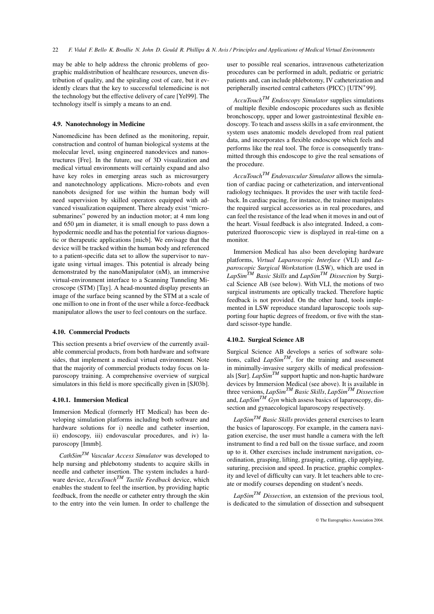may be able to help address the chronic problems of geographic maldistribution of healthcare resources, uneven distribution of quality, and the spiraling cost of care, but it evidently clears that the key to successful telemedicine is not the technology but the effective delivery of care [Yel99]. The technology itself is simply a means to an end.

# **4.9. Nanotechnology in Medicine**

Nanomedicine has been defined as the monitoring, repair, construction and control of human biological systems at the molecular level, using engineered nanodevices and nanostructures [Fre]. In the future, use of 3D visualization and medical virtual environments will certainly expand and also have key roles in emerging areas such as microsurgery and nanotechnology applications. Micro-robots and even nanobots designed for use within the human body will need supervision by skilled operators equipped with advanced visualization equipment. There already exist "microsubmarines" powered by an induction motor; at 4 mm long and 650  $\mu$ m in diameter, it is small enough to pass down a hypodermic needle and has the potential for various diagnostic or therapeutic applications [micb]. We envisage that the device will be tracked within the human body and referenced to a patient-specific data set to allow the supervisor to navigate using virtual images. This potential is already being demonstrated by the nanoManipulator (nM), an immersive virtual-environment interface to a Scanning Tunneling Microscope (STM) [Tay]. A head-mounted display presents an image of the surface being scanned by the STM at a scale of one million to one in front of the user while a force-feedback manipulator allows the user to feel contours on the surface.

# **4.10. Commercial Products**

This section presents a brief overview of the currently available commercial products, from both hardware and software sides, that implement a medical virtual environment. Note that the majority of commercial products today focus on laparoscopy training. A comprehensive overview of surgical simulators in this field is more specifically given in [SJ03b].

# **4.10.1. Immersion Medical**

Immersion Medical (formerly HT Medical) has been developing simulation platforms including both software and hardware solutions for i) needle and catheter insertion, ii) endoscopy, iii) endovascular procedures, and iv) laparoscopy [Immb].

*CathSimTM Vascular Access Simulator* was developed to help nursing and phlebotomy students to acquire skills in needle and catheter insertion. The system includes a hardware device, *AccuTouchTM Tactile Feedback* device, which enables the student to feel the insertion, by providing haptic feedback, from the needle or catheter entry through the skin to the entry into the vein lumen. In order to challenge the

user to possible real scenarios, intravenous catheterization procedures can be performed in adult, pediatric or geriatric patients and, can include phlebotomy, IV catheterization and Peripherally inserted central catheters (PICC) [UTN<sup>\*</sup>99].

*AccuTouchTM Endoscopy Simulator* supplies simulations of multiple flexible endoscopic procedures such as flexible bronchoscopy, upper and lower gastrointestinal flexible endoscopy. To teach and assess skills in a safe environment, the system uses anatomic models developed from real patient data, and incorporates a flexible endoscope which feels and performs like the real tool. The force is consequently transmitted through this endoscope to give the real sensations of the procedure.

*AccuTouchTM Endovascular Simulator* allows the simulation of cardiac pacing or catheterization, and interventional radiology techniques. It provides the user with tactile feedback. In cardiac pacing, for instance, the trainee manipulates the required surgical accessories as in real procedures, and can feel the resistance of the lead when it moves in and out of the heart. Visual feedback is also integrated. Indeed, a computerized fluoroscopic view is displayed in real-time on a monitor.

Immersion Medical has also been developing hardware platforms, *Virtual Laparoscopic Interface* (VLI) and *Laparoscopic Surgical Workstation* (LSW), which are used in *LapSimTM Basic Skills* and *LapSimTM Dissection* by Surgical Science AB (see below). With VLI, the motions of two surgical instruments are optically tracked. Therefore haptic feedback is not provided. On the other hand, tools implemented in LSW reproduce standard laparoscopic tools supporting four haptic degrees of freedom, or five with the standard scissor-type handle.

# **4.10.2. Surgical Science AB**

Surgical Science AB develops a series of software solutions, called  $LapSim<sup>TM</sup>$ , for the training and assessment in minimally-invasive surgery skills of medical professionals [Sur]. *LapSimTM* support haptic and non-haptic hardware devices by Immersion Medical (see above). It is available in three versions, *LapSimTM Basic Skills*, *LapSimTM Dissection* and, *LapSimTM Gyn* which assess basics of laparoscopy, dissection and gynaecological laparoscopy respectively.

*LapSimTM Basic Skills* provides general exercises to learn the basics of laparoscopy. For example, in the camera navigation exercise, the user must handle a camera with the left instrument to find a red ball on the tissue surface, and zoom up to it. Other exercises include instrument navigation, coordination, grasping, lifting, grasping, cutting, clip applying, suturing, precision and speed. In practice, graphic complexity and level of difficulty can vary. It let teachers able to create or modify courses depending on student's needs.

*LapSimTM Dissection*, an extension of the previous tool, is dedicated to the simulation of dissection and subsequent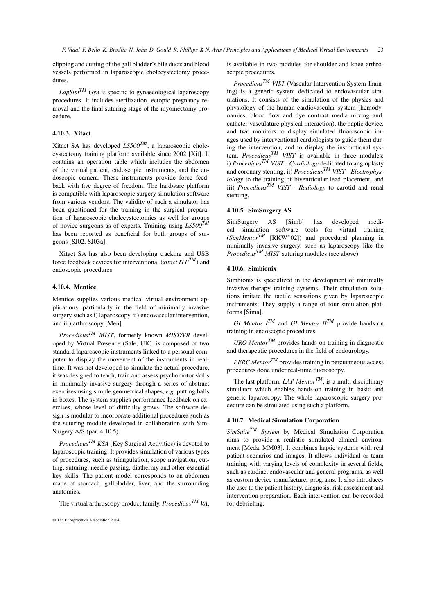clipping and cutting of the gall bladder's bile ducts and blood vessels performed in laparoscopic cholecystectomy procedures.

 $LapSim<sup>TM</sup> Gyn$  is specific to gynaecological laparoscopy procedures. It includes sterilization, ectopic pregnancy removal and the final suturing stage of the myomectomy procedure.

# **4.10.3. Xitact**

Xitact SA has developed *LS500TM*, a laparoscopic cholecystectomy training platform available since 2002 [Xit]. It contains an operation table which includes the abdomen of the virtual patient, endoscopic instruments, and the endoscopic camera. These instruments provide force feedback with five degree of freedom. The hardware platform is compatible with laparoscopic surgery simulation software from various vendors. The validity of such a simulator has been questioned for the training in the surgical preparation of laparoscopic cholecystectomies as well for groups of novice surgeons as of experts. Training using *LS500TM* has been reported as beneficial for both groups of surgeons [SJ02, SJ03a].

Xitact SA has also been developing tracking and USB force feedback devices for interventional (*xitact ITPTM*) and endoscopic procedures.

# **4.10.4. Mentice**

Mentice supplies various medical virtual environment applications, particularly in the field of minimally invasive surgery such as i) laparoscopy, ii) endovascular intervention, and iii) arthroscopy [Men].

*ProcedicusTM MIST*, formerly known *MIST/VR* developed by Virtual Presence (Sale, UK), is composed of two standard laparoscopic instruments linked to a personal computer to display the movement of the instruments in realtime. It was not developed to simulate the actual procedure, it was designed to teach, train and assess psychomotor skills in minimally invasive surgery through a series of abstract exercises using simple geometrical shapes, *e.g.* putting balls in boxes. The system supplies performance feedback on exercises, whose level of difficulty grows. The software design is modular to incorporate additional procedures such as the suturing module developed in collaboration with Sim-Surgery A/S (par. 4.10.5).

*ProcedicusTM KSA* (Key Surgical Activities) is devoted to laparoscopic training. It provides simulation of various types of procedures, such as triangulation, scope navigation, cutting, suturing, needle passing, diathermy and other essential key skills. The patient model corresponds to an abdomen made of stomach, gallbladder, liver, and the surrounding anatomies.

The virtual arthroscopy product family, *ProcedicusTM VA*,

is available in two modules for shoulder and knee arthroscopic procedures.

*ProcedicusTM VIST* (Vascular Intervention System Training) is a generic system dedicated to endovascular simulations. It consists of the simulation of the physics and physiology of the human cardiovascular system (hemodynamics, blood flow and dye contrast media mixing and, catheter-vasculature physical interaction), the haptic device, and two monitors to display simulated fluoroscopic images used by interventional cardiologists to guide them during the intervention, and to display the instructional system. *ProcedicusTM VIST* is available in three modules: i) *ProcedicusTM VIST - Cardiology* dedicated to angioplasty and coronary stenting, ii) *ProcedicusTM VIST - Electrophysiology* to the training of biventricular lead placement, and iii) *ProcedicusTM VIST - Radiology* to carotid and renal stenting.

# **4.10.5. SimSurgery AS**

SimSurgery AS [Simb] has developed medical simulation software tools for virtual training (*SimMentorTM* [RKW<sup>∗</sup> 02]) and procedural planning in minimally invasive surgery, such as laparoscopy like the *ProcedicusTM MIST* suturing modules (see above).

# **4.10.6. Simbionix**

Simbionix is specialized in the development of minimally invasive therapy training systems. Their simulation solutions imitate the tactile sensations given by laparoscopic instruments. They supply a range of four simulation platforms [Sima].

*GI Mentor ITM* and *GI Mentor IITM* provide hands-on training in endoscopic procedures.

*URO MentorTM* provides hands-on training in diagnostic and therapeutic procedures in the field of endourology.

*PERC MentorTM* provides training in percutaneous access procedures done under real-time fluoroscopy.

The last platform, *LAP Mentor*<sup>*TM*</sup>, is a multi disciplinary simulator which enables hands-on training in basic and generic laparoscopy. The whole laparoscopic surgery procedure can be simulated using such a platform.

# **4.10.7. Medical Simulation Corporation**

*SimSuiteTM System* by Medical Simulation Corporation aims to provide a realistic simulated clinical environment [Meda, MM03]. It combines haptic systems with real patient scenarios and images. It allows individual or team training with varying levels of complexity in several fields, such as cardiac, endovascular and general programs, as well as custom device manufacturer programs. It also introduces the user to the patient history, diagnosis, risk assessment and intervention preparation. Each intervention can be recorded for debriefing.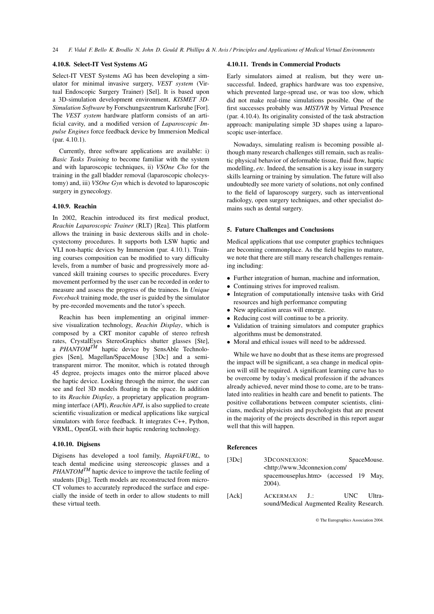# **4.10.8. Select-IT Vest Systems AG**

Select-IT VEST Systems AG has been developing a simulator for minimal invasive surgery, *VEST system* (Virtual Endoscopic Surgery Trainer) [Sel]. It is based upon a 3D-simulation development environment, *KISMET 3D-Simulation Software* by Forschungszentrum Karlsruhe [For]. The *VEST system* hardware platform consists of an artificial cavity, and a modified version of *Laparoscopic Impulse Engines* force feedback device by Immersion Medical (par. 4.10.1).

Currently, three software applications are available: i) *Basic Tasks Training* to become familiar with the system and with laparoscopic techniques, ii) *VSOne Cho* for the training in the gall bladder removal (laparoscopic cholecystomy) and, iii) *VSOne Gyn* which is devoted to laparoscopic surgery in gynecology.

# **4.10.9. Reachin**

In 2002, Reachin introduced its first medical product, *Reachin Laparoscopic Trainer* (RLT) [Rea]. This platform allows the training in basic dexterous skills and in cholecystectomy procedures. It supports both LSW haptic and VLI non-haptic devices by Immersion (par. 4.10.1). Training courses composition can be modified to vary difficulty levels, from a number of basic and progressively more advanced skill training courses to specific procedures. Every movement performed by the user can be recorded in order to measure and assess the progress of the trainees. In *Unique Forceback* training mode, the user is guided by the simulator by pre-recorded movements and the tutor's speech.

Reachin has been implementing an original immersive visualization technology, *Reachin Display*, which is composed by a CRT monitor capable of stereo refresh rates, CrystalEyes StereoGraphics shutter glasses [Ste], a **PHANTOM<sup>TM</sup>** haptic device by SensAble Technologies [Sen], Magellan/SpaceMouse [3Dc] and a semitransparent mirror. The monitor, which is rotated through 45 degree, projects images onto the mirror placed above the haptic device. Looking through the mirror, the user can see and feel 3D models floating in the space. In addition to its *Reachin Display*, a proprietary application programming interface (API), *Reachin API*, is also supplied to create scientific visualization or medical applications like surgical simulators with force feedback. It integrates C++, Python, VRML, OpenGL with their haptic rendering technology.

## **4.10.10. Digisens**

Digisens has developed a tool family, *HaptikFURL*, to teach dental medicine using stereoscopic glasses and a *PHANTOMTM* haptic device to improve the tactile feeling of students [Dig]. Teeth models are reconstructed from micro-CT volumes to accurately reproduced the surface and especially the inside of teeth in order to allow students to mill these virtual teeth.

# **4.10.11. Trends in Commercial Products**

Early simulators aimed at realism, but they were unsuccessful. Indeed, graphics hardware was too expensive, which prevented large-spread use, or was too slow, which did not make real-time simulations possible. One of the first successes probably was *MIST/VR* by Virtual Presence (par. 4.10.4). Its originality consisted of the task abstraction approach: manipulating simple 3D shapes using a laparoscopic user-interface.

Nowadays, simulating realism is becoming possible although many research challenges still remain, such as realistic physical behavior of deformable tissue, fluid flow, haptic modelling, *etc.* Indeed, the sensation is a key issue in surgery skills learning or training by simulation. The future will also undoubtedly see more variety of solutions, not only confined to the field of laparoscopy surgery, such as interventional radiology, open surgery techniques, and other specialist domains such as dental surgery.

#### **5. Future Challenges and Conclusions**

Medical applications that use computer graphics techniques are becoming commonplace. As the field begins to mature, we note that there are still many research challenges remaining including:

- Further integration of human, machine and information,
- Continuing strives for improved realism.
- Integration of computationally intensive tasks with Grid resources and high performance computing
- New application areas will emerge.
- Reducing cost will continue to be a priority.
- Validation of training simulators and computer graphics algorithms must be demonstrated.
- Moral and ethical issues will need to be addressed.

While we have no doubt that as these items are progressed the impact will be significant, a sea change in medical opinion will still be required. A significant learning curve has to be overcome by today's medical profession if the advances already achieved, never mind those to come, are to be translated into realities in health care and benefit to patients. The positive collaborations between computer scientists, clinicians, medical physicists and psychologists that are present in the majority of the projects described in this report augur well that this will happen.

## **References**

[3Dc] 3DCONNEXION: SpaceMouse. <http://www.3dconnexion.com/ spacemouseplus.htm> (accessed 19 May, 2004). [Ack] ACKERMAN J.: UNC Ultra-

sound/Medical Augmented Reality Research.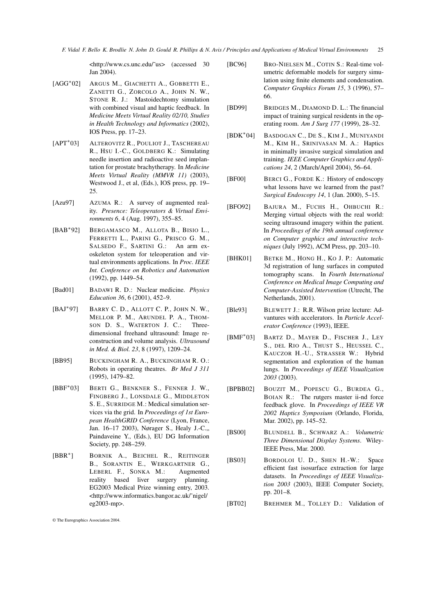<http://www.cs.unc.edu/˜us> (accessed 30 Jan 2004).

- $[AGG^*02]$ ARGUS M., GIACHETTI A., GOBBETTI E., ZANETTI G., ZORCOLO A., JOHN N. W., STONE R. J.: Mastoidechtomy simulation with combined visual and haptic feedback. In *Medicine Meets Virtual Reality 02/10, Studies in Health Technology and Informatics* (2002), IOS Press, pp. 17–23.
- $[APT^*03]$ 03] ALTEROVITZ R., POULIOT J., TASCHEREAU R., HSU I.-C., GOLDBERG K.: Simulating needle insertion and radioactive seed implantation for prostate brachytherapy. In *Medicine Meets Virtual Reality (MMVR 11)* (2003), Westwood J., et al, (Eds.), IOS press, pp. 19– 25.
- [Azu97] AZUMA R.: A survey of augmented reality. *Presence: Teleoperators & Virtual Environments 6*, 4 (Aug. 1997), 355–85.
- [BAB<sup>\*92]</sup> BERGAMASCO M., ALLOTA B., BISIO L., FERRETTI L., PARINI G., PRISCO G. M., SALSEDO F., SARTINI G.: An arm exoskeleton system for teleoperation and virtual environments applications. In *Proc. IEEE Int. Conference on Robotics and Automation* (1992), pp. 1449–54.
- [Bad01] BADAWI R. D.: Nuclear medicine. *Physics Education 36*, 6 (2001), 452–9.
- [BAJ\*97] BARRY C. D., ALLOTT C. P., JOHN N. W., MELLOR P. M., ARUNDEL P. A., THOM-SON D. S., WATERTON J. C.: Threedimensional freehand ultrasound: Image reconstruction and volume analysis. *Ultrasound in Med. & Biol. 23*, 8 (1997), 1209–24.
- [BB95] BUCKINGHAM R. A., BUCKINGHAM R. O.: Robots in operating theatres. *Br Med J 311* (1995), 1479–82.
- [BBF<sup>\*</sup>03] BERTI G., BENKNER S., FENNER J. W., FINGBERG J., LONSDALE G., MIDDLETON S. E., SURRIDGE M.: Medical simulation services via the grid. In *Proceedings of 1st European HealthGRID Conference* (Lyon, France, Jan. 16–17 2003), Nørager S., Healy J.-C., Paindaveine Y., (Eds.), EU DG Information Society, pp. 248–259.
- $[BBR^*]$ ] BORNIK A., BEICHEL R., REITINGER B., SORANTIN E., WERKGARTNER G., LEBERL F., SONKA M.: Augmented reality based liver surgery planning. EG2003 Medical Prize winning entry, 2003. <http://www.informatics.bangor.ac.uk/˜nigel/ eg2003-mp>.

- [BC96] BRO-NIELSEN M., COTIN S.: Real-time volumetric deformable models for surgery simulation using finite elements and condensation. *Computer Graphics Forum 15*, 3 (1996), 57– 66.
- [BD99] BRIDGES M., DIAMOND D. L.: The financial impact of training surgical residents in the operating room. *Am J Surg 177* (1999), 28–32.
- [ $BDK*04$ ] BASDOGAN C., DE S., KIM J., MUNIYANDI M., KIM H., SRINIVASAN M. A.: Haptics in minimally invasive surgical simulation and training. *IEEE Computer Graphics and Applications 24*, 2 (March/April 2004), 56–64.
- [BF00] BERCI G., FORDE K.: History of endoscopy what lessons have we learned from the past? *Surgical Endoscopy 14*, 1 (Jan. 2000), 5–15.
- [BFO92] BAJURA M., FUCHS H., OHBUCHI R.: Merging virtual objects with the real world: seeing ultrasound imagery within the patient. In *Proceedings of the 19th annual conference on Computer graphics and interactive techniques* (July 1992), ACM Press, pp. 203–10.
- [BHK01] BETKE M., HONG H., KO J. P.: Automatic 3d registration of lung surfaces in computed tomography scans. In *Fourth International Conference on Medical Image Computing and Computer-Assisted Intervention* (Utrecht, The Netherlands, 2001).
- [Ble93] BLEWETT J.: R.R. Wilson prize lecture: Advantures with accelerators. In *Particle Accelerator Conference* (1993), IEEE.
- [BMF<sup>\*03]</sup> BARTZ D., MAYER D., FISCHER J., LEY S., DEL RIO A., THUST S., HEUSSEL C., KAUCZOR H.-U., STRASSER W.: Hybrid segmentation and exploration of the human lungs. In *Proceedings of IEEE Visualization 2003* (2003).
- [BPBB02] BOUZIT M., POPESCU G., BURDEA G., BOIAN R.: The rutgers master ii-nd force feedback glove. In *Proceedings of IEEE VR 2002 Haptics Symposium* (Orlando, Florida, Mar. 2002), pp. 145–52.
- [BS00] BLUNDELL B., SCHWARZ A.: *Volumetric Three Dimensional Display Systems*. Wiley-IEEE Press, Mar. 2000.
- [BS03] BORDOLOI U. D., SHEN H.-W.: Space efficient fast isosurface extraction for large datasets. In *Proceedings of IEEE Visualization 2003* (2003), IEEE Computer Society, pp. 201–8.
- [BT02] BREHMER M., TOLLEY D.: Validation of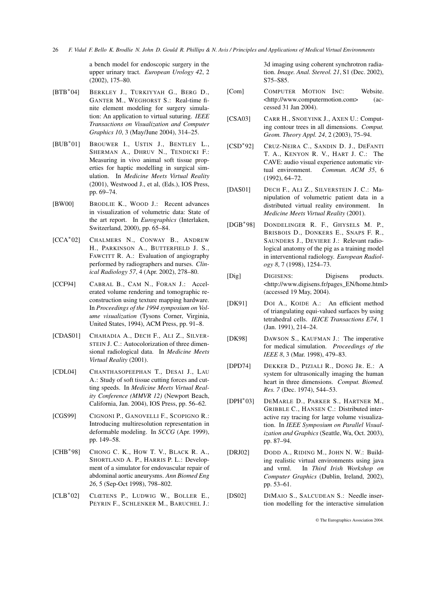a bench model for endoscopic surgery in the upper urinary tract. *European Urology 42*, 2 (2002), 175–80.

- $[BTB*04]$ BERKLEY J., TURKIYYAH G., BERG D., GANTER M., WEGHORST S.: Real-time finite element modeling for surgery simulation: An application to virtual suturing. *IEEE Transactions on Visualization and Computer Graphics 10*, 3 (May/June 2004), 314–25.
- [BUB<sup>\*</sup>01] BROUWER I., USTIN J., BENTLEY L., SHERMAN A., DHRUV N., TENDICKI F.: Measuring in vivo animal soft tissue properties for haptic modelling in surgical simulation. In *Medicine Meets Virtual Reality* (2001), Westwood J., et al, (Eds.), IOS Press, pp. 69–74.
- [BW00] BRODLIE K., WOOD J.: Recent advances in visualization of volumetric data: State of the art report. In *Eurographics* (Interlaken, Switzerland, 2000), pp. 65–84.
- $[CCA*02]$ CHALMERS N., CONWAY B., ANDREW H., PARKINSON A., BUTTERFIELD J. S., FAWCITT R. A.: Evaluation of angiography performed by radiographers and nurses. *Clinical Radiology 57*, 4 (Apr. 2002), 278–80.
- [CCF94] CABRAL B., CAM N., FORAN J.: Accelerated volume rendering and tomographic reconstruction using texture mapping hardware. In *Proceedings of the 1994 symposium on Volume visualization* (Tysons Corner, Virginia, United States, 1994), ACM Press, pp. 91–8.
- [CDAS01] CHAHADIA A., DECH F., ALI Z., SILVER-STEIN J. C.: Autocolorization of three dimensional radiological data. In *Medicine Meets Virtual Reality* (2001).
- [CDL04] CHANTHASOPEEPHAN T., DESAI J., LAU A.: Study of soft tissue cutting forces and cutting speeds. In *Medicine Meets Virtual Reality Conference (MMVR 12)* (Newport Beach, California, Jan. 2004), IOS Press, pp. 56–62.
- [CGS99] CIGNONI P., GANOVELLI F., SCOPIGNO R.: Introducing multiresolution representation in deformable modeling. In *SCCG* (Apr. 1999), pp. 149–58.
- $ICHB*981$ CHONG C. K., HOW T. V., BLACK R. A., SHORTLAND A. P., HARRIS P. L.: Development of a simulator for endovascular repair of abdominal aortic aneurysms. *Ann Biomed Eng 26*, 5 (Sep-Oct 1998), 798–802.
- $[CLB*02]$ CLŒTENS P., LUDWIG W., BOLLER E., PEYRIN F., SCHLENKER M., BARUCHEL J.:

3d imaging using coherent synchrotron radiation. *Image. Anal. Stereol. 21*, S1 (Dec. 2002), S75–S85.

- [Com] COMPUTER MOTION INC: Website. <http://www.computermotion.com> (accessed 31 Jan 2004).
- [CSA03] CARR H., SNOEYINK J., AXEN U.: Computing contour trees in all dimensions. *Comput. Geom. Theory Appl. 24*, 2 (2003), 75–94.
- $[CSD*92]$ 92] CRUZ-NEIRA C., SANDIN D. J., DEFANTI T. A., KENYON R. V., HART J. C.: The CAVE: audio visual experience automatic virtual environment. *Commun. ACM 35*, 6 (1992), 64–72.
- [DAS01] DECH F., ALI Z., SILVERSTEIN J. C.: Manipulation of volumetric patient data in a distributed virtual reality environment. In *Medicine Meets Virtual Reality* (2001).
- $[DGB*98]$ DONDELINGER R. F., GHYSELS M. P., BRISBOIS D., DONKERS E., SNAPS F. R., SAUNDERS J., DEVIERE J.: Relevant radiological anatomy of the pig as a training model in interventional radiology. *European Radiology 8*, 7 (1998), 1254–73.
- [Dig] DIGISENS: Digisens products. <http://www.digisens.fr/pages\_EN/home.html> (accessed 19 May, 2004).
- [DK91] DOI A., KOIDE A.: An efficient method of triangulating equi-valued surfaces by using tetrahedral cells. *IEICE Transactions E74*, 1 (Jan. 1991), 214–24.
- [DK98] DAWSON S., KAUFMAN J.: The imperative for medical simulation. *Proceedings of the IEEE 8*, 3 (Mar. 1998), 479–83.
- [DPD74] DEKKER D., PIZIALI R., DONG JR. E.: A system for ultrasonically imaging the human heart in three dimensions. *Comput. Biomed. Res. 7* (Dec. 1974), 544–53.
- [DPH<sup>\*</sup>03] DEMARLE D., PARKER S., HARTNER M., GRIBBLE C., HANSEN C.: Distributed interactive ray tracing for large volume visualization. In *IEEE Symposium on Parallel Visualization and Graphics* (Seattle, Wa, Oct. 2003), pp. 87–94.
- [DRJ02] DODD A., RIDING M., JOHN N. W.: Building realistic virtual environments using java and vrml. In *Third Irish Workshop on Computer Graphics* (Dublin, Ireland, 2002), pp. 53–61.
- [DS02] DIMAIO S., SALCUDEAN S.: Needle insertion modelling for the interactive simulation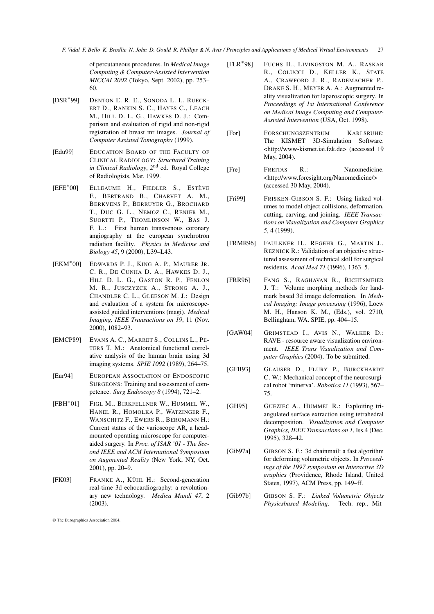of percutaneous procedures. In *Medical Image Computing & Computer-Assisted Intervention MICCAI 2002* (Tokyo, Sept. 2002), pp. 253– 60.

- [DSR<sup>\*99]</sup> DENTON E. R. E., SONODA L. I., RUECK-ERT D., RANKIN S. C., HAYES C., LEACH M., HILL D. L. G., HAWKES D. J.: Comparison and evaluation of rigid and non-rigid registration of breast mr images. *Journal of Computer Assisted Tomography* (1999).
- [Edu99] EDUCATION BOARD OF THE FACULTY OF CLINICAL RADIOLOGY: *Structured Training in Clinical Radiology*, 2nd ed. Royal College of Radiologists, Mar. 1999.
- $[EFE*00]$ ELLEAUME H., FIEDLER S., ESTÈVE F., BERTRAND B., CHARVET A. M., BERKVENS P., BERRUYER G., BROCHARD T., DUC G. L., NEMOZ C., RENIER M., SUORTTI P., THOMLINSON W., BAS J. F. L.: First human transvenous coronary angiography at the european synchrotron radiation facility. *Physics in Medicine and Biology 45*, 9 (2000), L39–L43.
- $[EKM^*00]$ EDWARDS P. J., KING A. P., MAURER JR. C. R., DE CUNHA D. A., HAWKES D. J., HILL D. L. G., GASTON R. P., FENLON M. R., JUSCZYZCK A., STRONG A. J., CHANDLER C. L., GLEESON M. J.: Design and evaluation of a system for microscopeassisted guided interventions (magi). *Medical Imaging, IEEE Transactions on 19*, 11 (Nov. 2000), 1082–93.
- [EMCP89] EVANS A. C., MARRET S., COLLINS L., PE-TERS T. M.: Anatomical functional correlative analysis of the human brain using 3d imaging systems. *SPIE 1092* (1989), 264–75.
- [Eur94] EUROPEAN ASSOCIATION OF ENDOSCOPIC SURGEONS: Training and assessment of competence. *Surg Endoscopy 8* (1994), 721–2.
- $[FBH<sup>*</sup>01]$ FIGL M., BIRKFELLNER W., HUMMEL W., HANEL R., HOMOLKA P., WATZINGER F., WANSCHITZ F., EWERS R., BERGMANN H.: Current status of the varioscope AR, a headmounted operating microscope for computeraided surgery. In *Proc. of ISAR '01 - The Second IEEE and ACM International Symposium on Augmented Reality* (New York, NY, Oct. 2001), pp. 20–9.
- [FK03] FRANKE A., KÜHL H.: Second-generation real-time 3d echocardiography: a revolutionary new technology. *Medica Mundi 47*, 2 (2003).

- [FLR<sup>\*98]</sup> FUCHS H., LIVINGSTON M. A., RASKAR R., COLUCCI D., KELLER K., STATE A., CRAWFORD J. R., RADEMACHER P., DRAKE S. H., MEYER A. A.: Augmented reality visualization for laparoscopic surgery. In *Proceedings of 1st International Conference on Medical Image Computing and Computer-Assisted Intervention* (USA, Oct. 1998).
- [For] FORSCHUNGSZENTRUM KARLSRUHE: The KISMET 3D-Simulation Software. <http://www-kismet.iai.fzk.de> (accessed 19 May, 2004).
- [Fre] FREITAS R.: Nanomedicine. <http://www.foresight.org/Nanomedicine/> (accessed 30 May, 2004).
- [Fri99] FRISKEN-GIBSON S. F.: Using linked volumes to model object collisions, deformation, cutting, carving, and joining. *IEEE Transactions on Visualization and Computer Graphics 5*, 4 (1999).
- [FRMR96] FAULKNER H., REGEHR G., MARTIN J., REZNICK R.: Validation of an objective structured assessment of technical skill for surgical residents. *Acad Med 71* (1996), 1363–5.
- [FRR96] FANG S., RAGHAVAN R., RICHTSMEIER J. T.: Volume morphing methods for landmark based 3d image deformation. In *Medical Imaging: Image processing* (1996), Loew M. H., Hanson K. M., (Eds.), vol. 2710, Bellingham, WA. SPIE, pp. 404–15.
- [GAW04] GRIMSTEAD I., AVIS N., WALKER D.: RAVE - resource aware visualization environment. *IEEE Trans Visualization and Computer Graphics* (2004). To be submitted.
- [GFB93] GLAUSER D., FLURY P., BURCKHARDT C. W.: Mechanical concept of the neurosurgical robot 'minerva'. *Robotica 11* (1993), 567– 75.
- [GH95] GUEZIEC A., HUMMEL R.: Exploiting triangulated surface extraction using tetrahedral decomposition. *Visualization and Computer Graphics, IEEE Transactions on 1*, Iss.4 (Dec. 1995), 328–42.
- [Gib97a] GIBSON S. F.: 3d chainmail: a fast algorithm for deforming volumetric objects. In *Proceedings of the 1997 symposium on Interactive 3D graphics* (Providence, Rhode Island, United States, 1997), ACM Press, pp. 149–ff.
- [Gib97b] GIBSON S. F.: *Linked Volumetric Objects Physicsbased Modeling*. Tech. rep., Mit-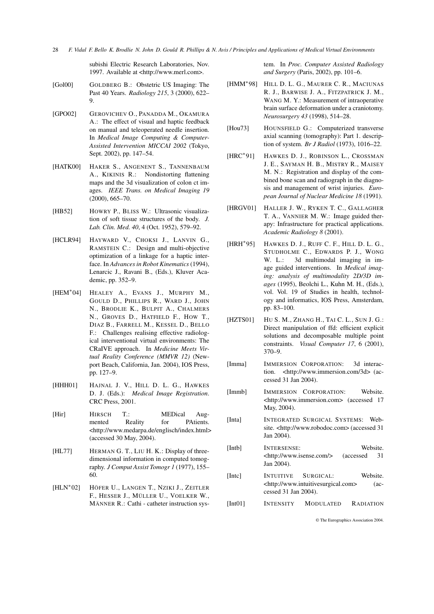subishi Electric Research Laboratories, Nov. 1997. Available at <http://www.merl.com>.

- [Gol00] GOLDBERG B.: Obstetric US Imaging: The Past 40 Years. *Radiology 215*, 3 (2000), 622– 9.
- [GPO02] GEROVICHEV O., PANADDA M., OKAMURA A.: The effect of visual and haptic feedback on manual and teleoperated needle insertion. In *Medical Image Computing & Computer-Assisted Intervention MICCAI 2002* (Tokyo, Sept. 2002), pp. 147–54.
- [HATK00] HAKER S., ANGENENT S., TANNENBAUM A., KIKINIS R.: Nondistorting flattening maps and the 3d visualization of colon ct images. *IEEE Trans. on Medical Imaging 19* (2000), 665–70.
- [HB52] HOWRY P., BLISS W.: Ultrasonic visualization of soft tissue structures of the body. *J. Lab. Clin. Med. 40*, 4 (Oct. 1952), 579–92.
- [HCLR94] HAYWARD V., CHOKSI J., LANVIN G., RAMSTEIN C.: Design and multi-objective optimization of a linkage for a haptic interface. In *Advances in Robot Kinematics*(1994), Lenarcic J., Ravani B., (Eds.), Kluver Academic, pp. 352–9.
- $[HEM*04]$ HEALEY A., EVANS J., MURPHY M., GOULD D., PHILLIPS R., WARD J., JOHN N., BRODLIE K., BULPIT A., CHALMERS N., GROVES D., HATFIELD F., HOW T., DIAZ B., FARRELL M., KESSEL D., BELLO F.: Challenges realising effective radiological interventional virtual environments: The CRaIVE approach. In *Medicine Meets Virtual Reality Conference (MMVR 12)* (Newport Beach, California, Jan. 2004), IOS Press, pp. 127–9.
- [HHH01] HAJNAL J. V., HILL D. L. G., HAWKES D. J. (Eds.): *Medical Image Registration*. CRC Press, 2001.
- [Hir] HIRSCH T.: MEDical Augmented Reality for PAtients. <http://www.medarpa.de/englisch/index.html> (accessed 30 May, 2004).
- [HL77] HERMAN G. T., LIU H. K.: Display of threedimensional information in computed tomography. *J Comput Assist Tomogr 1* (1977), 155– 60.
- $[HLN^*02]$ HÖFER U., LANGEN T., NZIKI J., ZEITLER F., HESSER J., MÜLLER U., VOELKER W., MÄNNER R.: Cathi - catheter instruction sys-

tem. In *Proc. Computer Assisted Radiology and Surgery* (Paris, 2002), pp. 101–6.

- [HMM<sup>\*</sup>98] HILL D. L. G., MAURER C. R., MACIUNAS R. J., BARWISE J. A., FITZPATRICK J. M., WANG M. Y.: Measurement of intraoperative brain surface deformation under a craniotomy. *Neurosurgery 43* (1998), 514–28.
- [Hou73] HOUNSFIELD G.: Computerized transverse axial scanning (tomography): Part 1. description of system. *Br J Radiol* (1973), 1016–22.
- [HRC<sup>\*91]</sup> HAWKES D. J., ROBINSON L., CROSSMAN J. E., SAYMAN H. B., MISTRY R., MAISEY M. N.: Registration and display of the combined bone scan and radiograph in the diagnosis and management of wrist injuries. *European Journal of Nuclear Medicine 18* (1991).
- [HRGV01] HALLER J. W., RYKEN T. C., GALLAGHER T. A., VANNIER M. W.: Image guided therapy: Infrastructure for practical applications. *Academic Radiology 8* (2001).
- [HRH<sup>\*95]</sup> HAWKES D. J., RUFF C. F., HILL D. L. G., STUDHOLME C., EDWARDS P. J., WONG W. L.: 3d multimodal imaging in image guided interventions. In *Medical imaging: analysis of multimodality 2D/3D images* (1995), Beolchi L., Kuhn M. H., (Eds.), vol. Vol. 19 of Studies in health, technology and informatics, IOS Press, Amsterdam, pp. 83–100.
- [HZTS01] HU S. M., ZHANG H., TAI C. L., SUN J. G.: Direct manipulation of ffd: efficient explicit solutions and decomposable multiple point constraints. *Visual Computer 17*, 6 (2001), 370–9.
- [Imma] IMMERSION CORPORATION: 3d interaction. <http://www.immersion.com/3d> (accessed 31 Jan 2004).
- [Immb] IMMERSION CORPORATION: Website. <http://www.immersion.com> (accessed 17 May, 2004).
- [Inta] INTEGRATED SURGICAL SYSTEMS: Website. <http://www.robodoc.com> (accessed 31 Jan 2004).
- [Intb] INTERSENSE: Website. <http://www.isense.com/> (accessed 31 Jan 2004).
- [Intc] INTUITIVE SURGICAL: Website. <http://www.intuitivesurgical.com> (accessed 31 Jan 2004).
- [Int01] INTENSITY MODULATED RADIATION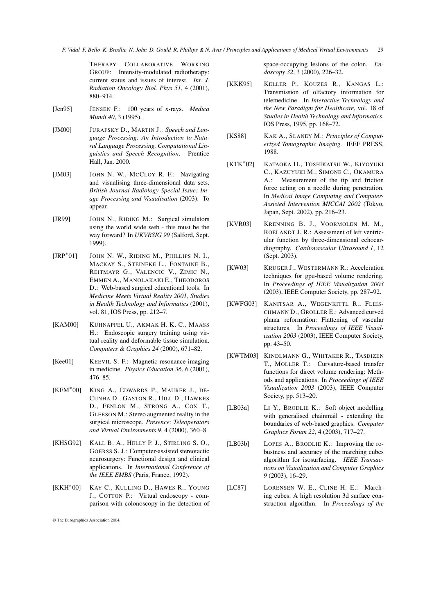THERAPY COLLABORATIVE WORKING GROUP: Intensity-modulated radiotherapy: current status and issues of interest. *Int. J. Radiation Oncology Biol. Phys 51*, 4 (2001), 880–914.

- [Jen95] JENSEN F.: 100 years of x-rays. *Medica Mundi 40*, 3 (1995).
- [JM00] JURAFSKY D., MARTIN J.: *Speech and Language Processing: An Introduction to Natural Language Processing, Computational Linguistics and Speech Recognition*. Prentice Hall, Jan. 2000.
- [JM03] JOHN N. W., MCCLOY R. F.: Navigating and visualising three-dimensional data sets. *British Journal Radiology Special Issue: Image Processing and Visualisation* (2003). To appear.
- [JR99] JOHN N., RIDING M.: Surgical simulators using the world wide web - this must be the way forward? In *UKVRSIG 99* (Salford, Sept. 1999).
- $[IRP*01]$ JOHN N. W., RIDING M., PHILLIPS N. I., MACKAY S., STEINEKE L., FONTAINE B., REITMAYR G., VALENCIC V., ZIMIC N., EMMEN A., MANOLAKAKI E., THEODOROS D.: Web-based surgical educational tools. In *Medicine Meets Virtual Reality 2001, Studies in Health Technology and Informatics* (2001), vol. 81, IOS Press, pp. 212–7.
- [KAM00] KÜHNAPFEL U., AKMAK H. K. C., MAASS H.: Endoscopic surgery training using virtual reality and deformable tissue simulation. *Computers & Graphics 24* (2000), 671–82.
- [Kee01] KEEVIL S. F.: Magnetic resonance imaging in medicine. *Physics Education 36*, 6 (2001), 476–85.
- $[KEM*00]$ KING A., EDWARDS P., MAURER J., DE-CUNHA D., GASTON R., HILL D., HAWKES D., FENLON M., STRONG A., COX T., GLEESON M.: Stereo augmented reality in the surgical microscope. *Presence: Teleoperators and Virtual Environments 9*, 4 (2000), 360–8.
- [KHSG92] KALL B. A., HELLY P. J., STIRLING S. O., GOERSS S. J.: Computer-assisted stereotactic neurosurgery: Functional design and clinical applications. In *International Conference of the IEEE EMBS* (Paris, France, 1992).
- [KKH<sup>\*</sup>00] KAY C., KULLING D., HAWES R., YOUNG J., COTTON P.: Virtual endoscopy - comparison with colonoscopy in the detection of

© The Eurographics Association 2004.

space-occupying lesions of the colon. *Endoscopy 32*, 3 (2000), 226–32.

- [KKK95] KELLER P., KOUZES R., KANGAS L.: Transmission of olfactory information for telemedicine. In *Interactive Technology and the New Paradigm for Healthcare*, vol. 18 of *Studies in Health Technology and Informatics*. IOS Press, 1995, pp. 168–72.
- [KS88] KAK A., SLANEY M.: *Principles of Computerized Tomographic Imaging*. IEEE PRESS, 1988.
- [KTK<sup>\*</sup>02] KATAOKA H., TOSHIKATSU W., KIYOYUKI C., KAZUYUKI M., SIMONE C., OKAMURA A.: Measurement of the tip and friction force acting on a needle during penetration. In *Medical Image Computing and Computer-Assisted Intervention MICCAI 2002* (Tokyo, Japan, Sept. 2002), pp. 216–23.
- [KVR03] KRENNING B. J., VOORMOLEN M. M., ROELANDT J. R.: Assessment of left ventricular function by three-dimensional echocardiography. *Cardiovascular Ultrasound 1*, 12 (Sept. 2003).
- [KW03] KRUGER J., WESTERMANN R.: Acceleration techniques for gpu-based volume rendering. In *Proceedings of IEEE Visualization 2003* (2003), IEEE Computer Society, pp. 287–92.
- [KWFG03] KANITSAR A., WEGENKITTL R., FLEIS-CHMANN D., GROLLER E.: Advanced curved planar reformation: Flattening of vascular structures. In *Proceedings of IEEE Visualization 2003* (2003), IEEE Computer Society, pp. 43–50.
- [KWTM03] KINDLMANN G., WHITAKER R., TASDIZEN T., MOLLER T.: Curvature-based transfer functions for direct volume rendering: Methods and applications. In *Proceedings of IEEE Visualization 2003* (2003), IEEE Computer Society, pp. 513–20.
- [LB03a] LI Y., BRODLIE K.: Soft object modelling with generalised chainmail - extending the boundaries of web-based graphics. *Computer Graphics Forum 22*, 4 (2003), 717–27.
- [LB03b] LOPES A., BRODLIE K.: Improving the robustness and accuracy of the marching cubes algorithm for isosurfacing. *IEEE Transactions on Visualization and Computer Graphics 9* (2003), 16–29.
- [LC87] LORENSEN W. E., CLINE H. E.: Marching cubes: A high resolution 3d surface construction algorithm. In *Proceedings of the*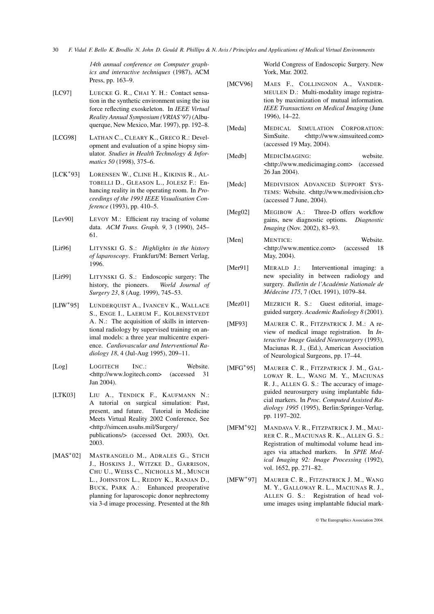*14th annual conference on Computer graphics and interactive techniques* (1987), ACM Press, pp. 163–9.

- [LC97] LUECKE G. R., CHAI Y. H.: Contact sensation in the synthetic environment using the isu force reflecting exoskeleton. In *IEEE Virtual Reality Annual Symposium (VRIAS'97)* (Albuquerque, New Mexico, Mar. 1997), pp. 192–8.
- [LCG98] LATHAN C., CLEARY K., GRECO R.: Development and evaluation of a spine biopsy simulator. *Studies in Health Technology & Informatics 50* (1998), 375–6.
- $[LCK*93]$ LORENSEN W., CLINE H., KIKINIS R., AL-TOBELLI D., GLEASON L., JOLESZ F.: Enhancing reality in the operating room. In *Proceedings of the 1993 IEEE Visualisation Conference* (1993), pp. 410–5.
- [Lev90] LEVOY M.: Efficient ray tracing of volume data. *ACM Trans. Graph. 9*, 3 (1990), 245– 61.
- [Lit96] LITYNSKI G. S.: *Highlights in the history of laparoscopy*. Frankfurt/M: Bernert Verlag, 1996.
- [Lit99] LITYNSKI G. S.: Endoscopic surgery: The history, the pioneers. *World Journal of Surgery 23*, 8 (Aug. 1999), 745–53.
- [LIW<sup>\*</sup>95] LUNDERQUIST A., IVANCEV K., WALLACE S., ENGE I., LAERUM F., KOLBENSTVEDT A. N.: The acquisition of skills in interventional radiology by supervised training on animal models: a three year multicentre experience. *Cardiovascular and Interventional Radiology 18*, 4 (Jul-Aug 1995), 209–11.
- [Log] LOGITECH INC.: Website. <http://www.logitech.com> (accessed 31 Jan 2004).
- [LTK03] LIU A., TENDICK F., KAUFMANN N.: A tutorial on surgical simulation: Past, present, and future. Tutorial in Medicine Meets Virtual Reality 2002 Conference, See <http://simcen.usuhs.mil/Surgery/ publications/> (accessed Oct. 2003), Oct. 2003.
- $[MAS^* 02]$ MASTRANGELO M., ADRALES G., STICH J., HOSKINS J., WITZKE D., GARRISON, CHU U., WEISS C., NICHOLLS M., MUNCH L., JOHNSTON L., REDDY K., RANJAN D., BUCK, PARK A.: Enhanced preoperative planning for laparoscopic donor nephrectomy via 3-d image processing. Presented at the 8th

World Congress of Endoscopic Surgery. New York, Mar. 2002.

- [MCV96] MAES F., COLLINGNON A., VANDER-MEULEN D.: Multi-modality image registration by maximization of mutual information. *IEEE Transactions on Medical Imaging* (June 1996), 14–22.
- [Meda] MEDICAL SIMULATION CORPORATION: SimSuite. <http://www.simsuiteed.com> (accessed 19 May, 2004).
- [Medb] MEDICIMAGING: website. <http://www.medicimaging.com> (accessed 26 Jan 2004).
- [Medc] MEDIVISION ADVANCED SUPPORT SYS-TEMS: Website. <http://www.medivision.ch> (accessed 7 June, 2004).
- [Meg02] MEGIBOW A.: Three-D offers workflow gains, new diagnostic options. *Diagnostic Imaging* (Nov. 2002), 83–93.
- [Men] MENTICE: Website. <http://www.mentice.com> (accessed 18 May, 2004).
- [Mer91] MERALD J.: Interventional imaging: a new speciality in between radiology and surgery. *Bulletin de l'Académie Nationale de Médecine 175*, 7 (Oct. 1991), 1079–84.
- [Mez01] MEZRICH R. S.: Guest editorial, imageguided surgery. *Academic Radiology 8* (2001).
- [MF93] MAURER C. R., FITZPATRICK J. M.: A review of medical image registration. In *Interactive Image Guided Neurosurgery* (1993), Maciunas R. J., (Ed.), American Association of Neurological Surgeons, pp. 17–44.
- [MFG<sup>\*95]</sup> MAURER C. R., FITZPATRICK J. M., GAL-LOWAY R. L., WANG M. Y., MACIUNAS R. J., ALLEN G. S.: The accuracy of imageguided neurosurgery using implantable fiducial markers. In *Proc. Computed Assisted Radiology 1995* (1995), Berlin:Springer-Verlag, pp. 1197–202.
- [MFM<sup>\*92]</sup> MANDAVA V. R., FITZPATRICK J. M., MAU-RER C. R., MACIUNAS R. K., ALLEN G. S.: Registration of multimodal volume head images via attached markers. In *SPIE Medical Imaging 92: Image Processing* (1992), vol. 1652, pp. 271–82.
- [MFW<sup>\*97]</sup> MAURER C. R., FITZPATRICK J. M., WANG M. Y., GALLOWAY R. L., MACIUNAS R. J., ALLEN G. S.: Registration of head volume images using implantable fiducial mark-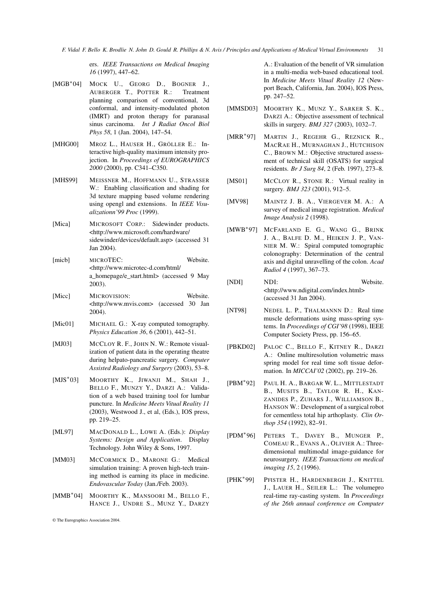ers. *IEEE Transactions on Medical Imaging 16* (1997), 447–62.

- $[MGB^*04]$ MOCK U., GEORG D., BOGNER J., AUBERGER T., POTTER R.: Treatment planning comparison of conventional, 3d conformal, and intensity-modulated photon (IMRT) and proton therapy for paranasal sinus carcinoma. *Int J Radiat Oncol Biol Phys 58*, 1 (Jan. 2004), 147–54.
- [MHG00] MROZ L., HAUSER H., GRÖLLER E.: Interactive high-quality maximum intensity projection. In *Proceedings of EUROGRAPHICS 2000* (2000), pp. C341–C350.
- [MHS99] MEISSNER M., HOFFMANN U., STRASSER W.: Enabling classification and shading for 3d texture mapping based volume rendering using opengl and extensions. In *IEEE Visualizationn'99 Proc* (1999).
- [Mica] MICROSOFT CORP.: Sidewinder products. <http://www.microsoft.com/hardware/ sidewinder/devices/default.asp> (accessed 31 Jan 2004).
- [micb] MICROTEC: Website. <http://www.microtec-d.com/html/ a\_homepage/e\_start.html> (accessed 9 May 2003).
- [Micc] MICROVISION: Website. <http://www.mvis.com> (accessed 30 Jan 2004).
- [Mic01] MICHAEL G.: X-ray computed tomography. *Physics Education 36*, 6 (2001), 442–51.
- [MJ03] MCCLOY R. F., JOHN N. W.: Remote visualization of patient data in the operating theatre during helpato-pancreatic surgery. *Computer Assisted Radiology and Surgery* (2003), 53–8.
- [MJS<sup>\*</sup>03] 03] MOORTHY K., JIWANJI M., SHAH J., BELLO F., MUNZY Y., DARZI A.: Validation of a web based training tool for lumbar puncture. In *Medicine Meets Vitual Reality 11* (2003), Westwood J., et al, (Eds.), IOS press, pp. 219–25.
- [ML97] MACDONALD L., LOWE A. (Eds.): *Display Systems: Design and Application*. Display Technology. John Wiley & Sons, 1997.
- [MM03] MCCORMICK D., MARONE G.: Medical simulation training: A proven high-tech training method is earning its place in medicine. *Endovascular Today* (Jan./Feb. 2003).
- [MMB<sup>∗</sup> MOORTHY K., MANSOORI M., BELLO F., HANCE J., UNDRE S., MUNZ Y., DARZY

© The Eurographics Association 2004.

 $A \cdot$  Evaluation of the benefit of VR simulation in a multi-media web-based educational tool. In *Medicine Meets Vitual Reality 12* (Newport Beach, California, Jan. 2004), IOS Press, pp. 247–52.

- [MMSD03] MOORTHY K., MUNZ Y., SARKER S. K., DARZI A.: Objective assessment of technical skills in surgery. *BMJ 327* (2003), 1032–7.
- [MRR<sup>\*97]</sup> MARTIN J., REGEHR G., REZNICK R., MACRAE H., MURNAGHAN J., HUTCHISON C., BROWN M.: Objective structured assessment of technical skill (OSATS) for surgical residents. *Br J Surg 84*, 2 (Feb. 1997), 273–8.
- [MS01] MCCLOY R., STONE R.: Virtual reality in surgery. *BMJ 323* (2001), 912–5.
- [MV98] MAINTZ J. B. A., VIERGEVER M. A.: A survey of medical image registration. *Medical Image Analysis 2* (1998).
- [MWB<sup>\*97]</sup> MCFARLAND E. G., WANG G., BRINK J. A., BALFE D. M., HEIKEN J. P., VAN-NIER M. W.: Spiral computed tomographic colonography: Determination of the central axis and digital unravelling of the colon. *Acad Radiol 4* (1997), 367–73.
- [NDI] NDI: Website. <http://www.ndigital.com/index.html> (accessed 31 Jan 2004).
- [NT98] NEDEL L. P., THALMANNN D.: Real time muscle deformations using mass-spring systems. In *Proceedings of CGI'98* (1998), IEEE Computer Society Press, pp. 156–65.
- [PBKD02] PALOC C., BELLO F., KITNEY R., DARZI A.: Online multiresolution volumetric mass spring model for real time soft tissue deformation. In *MICCAI'02* (2002), pp. 219–26.
- [PBM<sup>\*92]</sup> PAUL H. A., BARGAR W. L., MITTLESTADT B., MUSITS B., TAYLOR R. H., KAN-ZANIDES P., ZUHARS J., WILLIAMSON B., HANSON W.: Development of a surgical robot for cementless total hip arthoplasty. *Clin Orthop 354* (1992), 82–91.
- [PDM<sup>\*96]</sup> PETERS T., DAVEY B., MUNGER P., COMEAU R., EVANS A., OLIVIER A.: Threedimensional multimodal image-guidance for neurosurgery. *IEEE Transactions on medical imaging 15*, 2 (1996).
- [PHK<sup>\*99]</sup> PFISTER H., HARDENBERGH J., KNITTEL J., LAUER H., SEILER L.: The volumepro real-time ray-casting system. In *Proceedings of the 26th annual conference on Computer*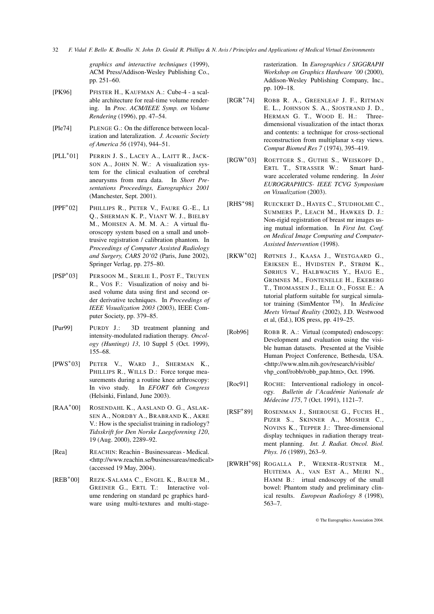*graphics and interactive techniques* (1999), ACM Press/Addison-Wesley Publishing Co., pp. 251–60.

- [PK96] PFISTER H., KAUFMAN A.: Cube-4 a scalable architecture for real-time volume rendering. In *Proc. ACM/IEEE Symp. on Volume Rendering* (1996), pp. 47–54.
- [Ple74] PLENGE G.: On the difference between localization and lateralization. *J. Acoustic Society of America 56* (1974), 944–51.
- $[PLL*01]$ PERRIN J. S., LACEY A., LAITT R., JACK-SON A., JOHN N. W.: A visualization system for the clinical evaluation of cerebral aneurysms from mra data. In *Short Presentations Proceedings, Eurographics 2001* (Manchester, Sept. 2001).
- [PPF<sup>\*</sup>02] PHILLIPS R., PETER V., FAURE G.-E., LI Q., SHERMAN K. P., VIANT W. J., BIELBY M., MOHSEN A. M. M. A.: A virtual fluoroscopy system based on a small and unobtrusive registration / calibration phantom. In *Proceedings of Computer Assisted Radiology and Surgery, CARS 20'02* (Paris, June 2002), Springer Verlag, pp. 275–80.
- [PSP<sup>\*</sup>03] PERSOON M., SERLIE I., POST F., TRUYEN R., VOS F.: Visualization of noisy and biased volume data using first and second order derivative techniques. In *Proceedings of IEEE Visualization 2003* (2003), IEEE Computer Society, pp. 379–85.
- [Pur99] PURDY J.: 3D treatment planning and intensity-modulated radiation therapy. *Oncology (Huntingt) 13*, 10 Suppl 5 (Oct. 1999), 155–68.
- [PWS<sup>\*</sup>03] PETER V., WARD J., SHERMAN K., PHILLIPS R., WILLS D.: Force torque measurements during a routine knee arthroscopy: In vivo study. In *EFORT 6th Congress* (Helsinki, Finland, June 2003).
- $[RAA*00]$ ROSENDAHL K., AASLAND O. G., ASLAK-SEN A., NORDBY A., BRABRAND K., AKRE V.: How is the specialist training in radiology? *Tidsskrift for Den Norske Laegeforening 120*, 19 (Aug. 2000), 2289–92.
- [Rea] REACHIN: Reachin Businessareas Medical. <http://www.reachin.se/businessareas/medical> (accessed 19 May, 2004).
- [REB<sup>\*</sup>00] REZK-SALAMA C., ENGEL K., BAUER M., GREINER G., ERTL T.: Interactive volume rendering on standard pc graphics hardware using multi-textures and multi-stage-

rasterization. In *Eurographics / SIGGRAPH Workshop on Graphics Hardware '00* (2000), Addison-Wesley Publishing Company, Inc., pp. 109–18.

- [RGR<sup>\*</sup>74] ROBB R. A., GREENLEAF J. F., RITMAN E. L., JOHNSON S. A., SJOSTRAND J. D., HERMAN G. T., WOOD E. H.: Threedimensional visualization of the intact thorax and contents: a technique for cross-sectional reconstruction from multiplanar x-ray views. *Comput Biomed Res 7* (1974), 395–419.
- $[RGW^*03]$ ROETTGER S., GUTHE S., WEISKOPF D., ERTL T., STRASSER W.: Smart hardware accelerated volume rendering. In *Joint EUROGRAPHICS- IEEE TCVG Symposium on Visualization* (2003).
- [RHS<sup>\*98]</sup> RUECKERT D., HAYES C., STUDHOLME C., SUMMERS P., LEACH M., HAWKES D. J.: Non-rigid registration of breast mr images using mutual information. In *First Int. Conf. on Medical Image Computing and Computer-Assisted Intervention* (1998).
- [RKW<sup>∗</sup> RØTNES J., KAASA J., WESTGAARD G., ERIKSEN E., HVIDSTEN P., STRØM K., SØRHUS V., HALBWACHS Y., HAUG E., GRIMNES M., FONTENELLE H., EKEBERG T., THOMASSEN J., ELLE O., FOSSE E.: A tutorial platform suitable for surgical simulator training (SimMentor TM). In *Medicine Meets Virtual Reality* (2002), J.D. Westwood et al, (Ed.), IOS press, pp. 419–25.
- [Rob96] ROBB R. A.: Virtual (computed) endoscopy: Development and evaluation using the visible human datasets. Presented at the Visible Human Project Conference, Bethesda, USA. <http://www.nlm.nih.gov/research/visible/ vhp\_conf/robb/robb\_pap.htm>, Oct. 1996.
- [Roc91] ROCHE: Interventional radiology in oncology. *Bulletin de l'Académie Nationale de Médecine 175*, 7 (Oct. 1991), 1121–7.
- [RSF<sup>\*</sup>89] ROSENMAN J., SHEROUSE G., FUCHS H., PIZER S., SKINNER A., MOSHER C., NOVINS K., TEPPER J.: Three-dimensional display techniques in radiation therapy treatment planning. *Int. J. Radiat. Oncol. Biol. Phys. 16* (1989), 263–9.
- [RWRH<sup>∗</sup> 98] ROGALLA P., WERNER-RUSTNER M., HUITEMA A., VAN EST A., MEIRI N., HAMM B.: irtual endoscopy of the small bowel: Phantom study and preliminary clinical results. *European Radiology 8* (1998), 563–7.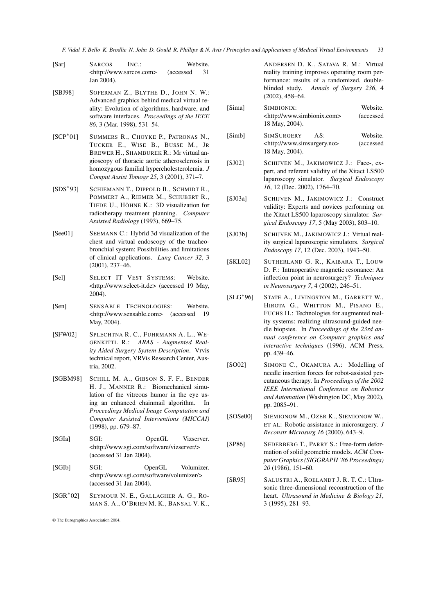- [Sar] SARCOS INC.: Website. <http://www.sarcos.com> (accessed 31 Jan 2004).
- [SBJ98] SOFERMAN Z., BLYTHE D., JOHN N. W.: Advanced graphics behind medical virtual reality: Evolution of algorithms, hardware, and software interfaces. *Proceedings of the IEEE 86*, 3 (Mar. 1998), 531–54.
- $[SCP^*01]$ SUMMERS R., CHOYKE P., PATRONAS N., TUCKER E., WISE B., BUSSE M., JR BREWER H., SHAMBUREK R.: Mr virtual angioscopy of thoracic aortic atherosclerosis in homozygous familial hypercholesterolemia. *J Comput Assist Tomogr 25*, 3 (2001), 371–7.
- [SDS<sup>\*93]</sup> SCHIEMANN T., DIPPOLD B., SCHMIDT R., POMMERT A., RIEMER M., SCHUBERT R., TIEDE U., HÖHNE K.: 3D visualization for radiotherapy treatment planning. *Computer Assisted Radiology* (1993), 669–75.
- [See01] SEEMANN C.: Hybrid 3d visualization of the chest and virtual endoscopy of the tracheobronchial system: Possibilities and limitations of clinical applications. *Lung Cancer 32*, 3 (2001), 237–46.
- [Sel] SELECT IT VEST SYSTEMS: Website. <http://www.select-it.de> (accessed 19 May, 2004).
- [Sen] SENSABLE TECHNOLOGIES: Website. <http://www.sensable.com> (accessed 19 May, 2004).
- [SFW02] SPLECHTNA R. C., FUHRMANN A. L., WE-GENKITTL R.: *ARAS - Augmented Reality Aided Surgery System Description*. Vrvis technical report, VRVis Research Center, Austria, 2002.
- [SGBM98] SCHILL M. A., GIBSON S. F. F., BENDER H. J., MANNER R.: Biomechanical simulation of the vitreous humor in the eye using an enhanced chainmail algorithm. In *Proceedings Medical Image Computation and Computer Assisted Interventions (MICCAI)* (1998), pp. 679–87.
- [SGIa] SGI: OpenGL Vizserver. <http://www.sgi.com/software/vizserver/> (accessed 31 Jan 2004).
- [SGIb] SGI: OpenGL Volumizer. <http://www.sgi.com/software/volumizer/> (accessed 31 Jan 2004).
- $[SGR*02]$ SEYMOUR N. E., GALLAGHER A. G., RO-MAN S. A., O'BRIEN M. K., BANSAL V. K.,

© The Eurographics Association 2004.

ANDERSEN D. K., SATAVA R. M.: Virtual reality training improves operating room performance: results of a randomized, doubleblinded study. *Annals of Surgery 236*, 4 (2002), 458–64.

- [Sima] SIMBIONIX: Website. <http://www.simbionix.com> (accessed 18 May, 2004).
- [Simb] SIMSURGERY AS: Website. <http://www.simsurgery.no> (accessed 18 May, 2004).
- [SJ02] SCHIJVEN M., JAKIMOWICZ J.: Face-, expert, and referent validity of the Xitact LS500 laparoscopy simulator. *Surgical Endoscopy 16*, 12 (Dec. 2002), 1764–70.
- [SJ03a] SCHIJVEN M., JAKIMOWICZ J.: Construct validity: Experts and novices performing on the Xitact LS500 laparoscopy simulator. *Surgical Endoscopy 17*, 5 (May 2003), 803–10.
- [SJ03b] SCHIJVEN M., JAKIMOWICZ J.: Virtual reality surgical laparoscopic simulators. *Surgical Endoscopy 17*, 12 (Dec. 2003), 1943–50.
- [SKL02] SUTHERLAND G. R., KAIBARA T., LOUW D. F.: Intraoperative magnetic resonance: An inflection point in neurosurgery? *Techniques in Neurosurgery 7*, 4 (2002), 246–51.
- [SLG<sup>\*96]</sup> STATE A., LIVINGSTON M., GARRETT W., HIROTA G., WHITTON M., PISANO E., FUCHS H.: Technologies for augmented reality systems: realizing ultrasound-guided needle biopsies. In *Proceedings of the 23rd annual conference on Computer graphics and interactive techniques* (1996), ACM Press, pp. 439–46.
- [SO02] SIMONE C., OKAMURA A.: Modelling of needle insertion forces for robot-assisted percutaneous therapy. In *Proceedings of the 2002 IEEE International Conference on Robotics and Automation* (Washington DC, May 2002), pp. 2085–91.
- [SOSe00] SIEMIONOW M., OZER K., SIEMIONOW W., ET AL: Robotic assistance in microsurgery. *J Reconstr Microsurg 16* (2000), 643–9.
- [SP86] SEDERBERG T., PARRY S.: Free-form deformation of solid geometric models. *ACM Computer Graphics (SIGGRAPH '86 Proceedings) 20* (1986), 151–60.
- [SR95] SALUSTRI A., ROELANDT J. R. T. C.: Ultrasonic three-dimensional reconstruction of the heart. *Ultrasound in Medicine & Biology 21*, 3 (1995), 281–93.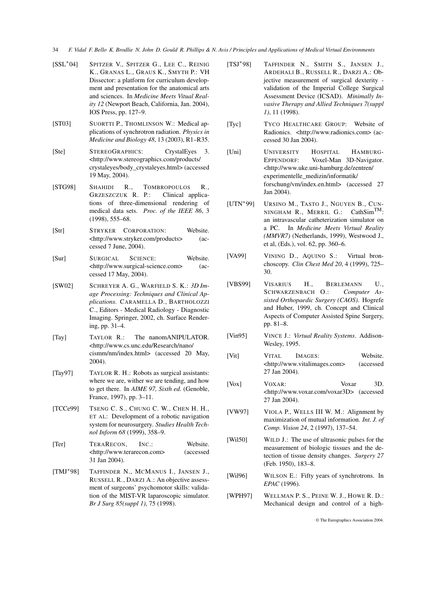- 34 *F. Vidal F. Bello K. Brodlie N. John D. Gould R. Phillips & N. Avis / Principles and Applications of Medical Virtual Environments*
- [SSL<sup>\*</sup>04] SPITZER V., SPITZER G., LEE C., REINIG K., GRANAS L., GRAUS K., SMYTH P.: VH Dissector: a platform for curriculum development and presentation for the anatomical arts and sciences. In *Medicine Meets Vitual Reality 12* (Newport Beach, California, Jan. 2004), IOS Press, pp. 127–9.
- [ST03] SUORTTI P., THOMLINSON W.: Medical applications of synchrotron radiation. *Physics in Medicine and Biology 48*, 13 (2003), R1–R35.
- [Ste] STEREOGRAPHICS: CrystalEyes 3. <http://www.stereographics.com/products/ crystaleyes/body\_crystaleyes.html> (accessed 19 May, 2004).
- [STG98] SHAHIDI R., TOMBROPOULOS R., GRZESZCZUK R. P.: Clinical applications of three-dimensional rendering of medical data sets. *Proc. of the IEEE 86*, 3 (1998), 555–68.
- [Str] STRYKER CORPORATION: Website. <http://www.stryker.com/products> (accessed 7 June, 2004).
- [Sur] SURGICAL SCIENCE: Website. <http://www.surgical-science.com> (accessed 17 May, 2004).
- [SW02] SCHREYER A. G., WARFIELD S. K.: *3D Image Processing: Techniques and Clinical Applications*. CARAMELLA D., BARTHOLOZZI C., Editors - Medical Radiology - Diagnostic Imaging. Springer, 2002, ch. Surface Rendering, pp. 31–4.
- [Tay] TAYLOR R.: The nanomANIPULATOR. <http://www.cs.unc.edu/Research/nano/ cismm/nm/index.html> (accessed 20 May, 2004).
- [Tay97] TAYLOR R. H.: Robots as surgical assistants: where we are, wither we are tending, and how to get there. In *AIME 97, Sixth ed.* (Genoble, France, 1997), pp. 3–11.
- [TCCe99] TSENG C. S., CHUNG C. W., CHEN H. H., ET AL: Development of a robotic navigation system for neurosurgery. *Studies Health Technol Inform 68* (1999), 358–9.
- [Ter] TERARECON, INC.: Website. <http://www.terarecon.com> (accessed 31 Jan 2004).
- [TMJ<sup>\*98]</sup> TAFFINDER N., MCMANUS I., JANSEN J., RUSSELL R., DARZI A.: An objective assessment of surgeons' psychomotor skills: validation of the MIST-VR laparoscopic simulator. *Br J Surg 85(suppl 1)*, 75 (1998).
- [TSJ\*98] TAFFINDER N., SMITH S., JANSEN J., ARDEHALI B., RUSSELL R., DARZI A.: Objective measurement of surgical dexterity validation of the Imperial College Surgical Assessment Device (ICSAD). *Minimally Invasive Therapy and Allied Techniques 7(suppl 1)*, 11 (1998).
- [Tyc] TYCO HEALTHCARE GROUP: Website of Radionics. <http://www.radionics.com> (accessed 30 Jan 2004).
- [Uni] UNIVERSITY HOSPITAL HAMBURG-EPPENDORF: Voxel-Man 3D-Navigator. <http://www.uke.uni-hamburg.de/zentren/ experimentelle\_medizin/informatik/ forschung/vm/index.en.html> (accessed 27 Jan 2004).
- [UTN<sup>\*99]</sup> URSINO M., TASTO J., NGUYEN B., CUN-NINGHAM R., MERRIL G.: CathSim<sup>TM</sup>: an intravascular catheterization simulator on a PC. In *Medicine Meets Virtual Reality (MMVR7)* (Netherlands, 1999), Westwood J., et al, (Eds.), vol. 62, pp. 360–6.
- [VA99] VINING D., AQUINO S.: Virtual bronchoscopy. *Clin Chest Med 20*, 4 (1999), 725– 30.
- [VBS99] VISARIUS H., BERLEMANN U., SCHWARZENBACH O.: *Computer Assisted Orthopaedic Surgery (CAOS)*. Hogrefe and Huber, 1999, ch. Concept and Clinical Aspects of Computer Assisted Spine Surgery, pp. 81–8.
- [Vin95] VINCE J.: *Virtual Reality Systems*. Addison-Wesley, 1995.
- [Vit] VITAL IMAGES: Website. <http://www.vitalimages.com> (accessed 27 Jan 2004).
- [Vox] VOXAR: Voxar 3D. <http://www.voxar.com/voxar3D> (accessed 27 Jan 2004).
- [VW97] VIOLA P., WELLS III W. M.: Alignment by maximization of mutual information. *Int. J. of Comp. Vision 24*, 2 (1997), 137–54.
- [Wil50] WILD J.: The use of ultrasonic pulses for the measurement of biologic tissues and the detection of tissue density changes. *Surgery 27* (Feb. 1950), 183–8.
- [Wil96] WILSON E.: Fifty years of synchrotrons. In *EPAC* (1996).
- [WPH97] WELLMAN P. S., PEINE W. J., HOWE R. D.: Mechanical design and control of a high-